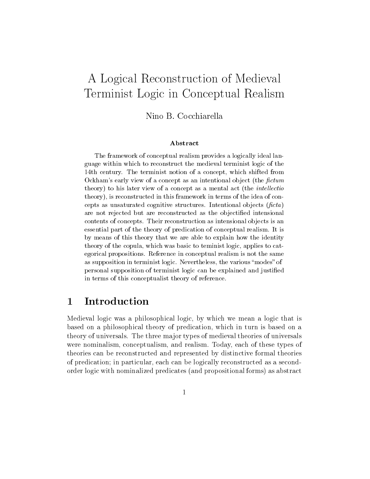# A Logical Reconstruction of Medieval Terminist Logic in Conceptual Realism

Nino B. Cocchiarella

#### Abstract

The framework of conceptual realism provides a logically ideal language within which to reconstruct the medieval terminist logic of the14th century. The terminist notion of <sup>a</sup> concept, which shifted from Ockham's early view of a concept as an intentional object (the  $\hbar c$ tum  $t$  ) theory) to this later view of a concept as a mental act (the  $\it{in}t$  lect $\it{in}$ theory), is reconstructed in this framework in terms of the idea of concepts as unsaturated cognitive structures. Intentional objects ( $\mu$ c $w$ ) are not rejected but are reconstructed as the objectified intensional contents of concepts. Their reconstruction as intensional ob jects is an essential part of the theory of predication of conceptual realism. It is by means of this theory that we are able to explain how the identity theory of the copula, which was basic to teminist logic, applies to categorical propositions. Reference in conceptual realism is not the same as supposition in terminist logic. Nevertheless, the various modes of personal supposition of terminist logic can be explained and justiedin terms of this conceptualist theory of reference.

# 1 Introduction

Medieval logic was a philosophical logic, by which we mean a logic that is based on a philosophical theory of predication, which in turn is based on a theory of universals. The three ma jor types of medieval theories of universals were nominalism, conceptualism, and realism. Today, each of these types of theories can be reconstructed and represented by distinctive formal theories of predication; in particular, each can be logically reconstructed as a secondorder logic with nominalized predicates (and propositional forms) as abstract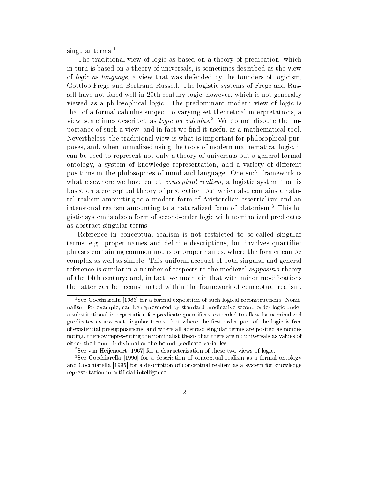singular terms. $1$ 

The traditional view of logic as based on a theory of predication, which in turn is based on a theory of universals, is sometimes described as the view of logic as language, a view that was defended by the founders of logicism, Gottlob Frege and Bertrand Russell. The logistic systems of Frege and Russell have not fared well in 20th century logic, however, which is not generally viewed as a philosophical logic. The predominant modern view of logic is that of a formal calculus sub ject to varying set-theoretical interpretations, a view sometimes described as *logic as calculus*.<sup>2</sup> We do not dispute the importance of such a view, and in fact we find it useful as a mathematical tool. Nevertheless, the traditional view is what is important for philosophical purposes, and, when formalized using the tools of modern mathematical logic, it can be used to represent not only a theory of universals but a general formal ontology, a system of knowledge representation, and a variety of different positions in the philosophies of mind and language. One such framework is what elsewhere we have called *conceptual realism*, a logistic system that is based on a conceptual theory of predication, but which also contains a natural realism amounting to a modern form of Aristotelian essentialism and an intensional realism amounting to a naturalized form of platonism.3 This logistic system is also a form of second-order logic with nominalized predicates as abstract singular terms.

Reference in conceptual realism is not restricted to so-called singular terms, e.g. proper names and definite descriptions, but involves quantifier phrases containing common nouns or proper names, where the former can be complex as well as simple. This uniform account of both singular and general reference is similar in a number of respects to the medieval suppositio theory of the 14th century; and, in fact, we maintain that with minor modifications the latter can be reconstructed within the framework of conceptual realism.

 $\overline{^{1}See}$  Cocchiarella [1986] for a formal exposition of such logical reconstructions. Nominalism, for example, can be represented by standard predicative second-order logic under a substitutional interpretation for predicate quantifiers, extended to allow for nominalized predicates as abstract singular terms—but where the first-order part of the logic is free of existential presuppositions, and where all abstract singular terms are posited as nondenoting, thereby representing the nominalist thesis that there are no universals as values of either the bound individual or the bound predicate variables.

<sup>2</sup>See van Heijenoort [1967] for a characterization of these two views of logic.

<sup>3</sup>See Cocchiarella [1996] for a description of conceptual realism as a formal ontology and Cocchiarella [1995] for a description of conceptual realism as a system for knowledge representation in artificial intelligence.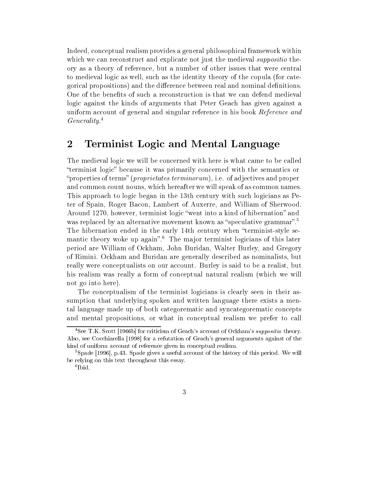Indeed, conceptual realism provides a general philosophical framework within which we can reconstruct and explicate not just the medieval *suppositio* theory as a theory of reference, but a number of other issues that were central to medieval logic as well, such as the identity theory of the copula (for categorical propositions) and the difference between real and nominal definitions. One of the benefits of such a reconstruction is that we can defend medieval logic against the kinds of arguments that Peter Geach has given against a uniform account of general and singular reference in his book Reference and Generality.4

# 2 Terminist Logic and Mental Language

The medieval logic we will be concerned with here is what came to be called "terminist logic" because it was primarily concerned with the semantics or "properties of terms" (*proprietates terminorum*), i.e. of adjectives and proper and common count nouns, which hereafter we will speak of as common names. This approach to logic began in the 13th century with such logicians as Peter of Spain, Roger Bacon, Lambert of Auxerre, and William of Sherwood. Around 1270, however, terminist logic "went into a kind of hibernation" and was replaced by an alternative movement known as "speculative grammar".<sup>5</sup> The hibernation ended in the early 14th century when "terminist-style semantic theory woke up again".<sup>6</sup> The major terminist logicians of this later period are William of Ockham, John Buridan, Walter Burley, and Gregory of Rimini. Ockham and Buridan are generally described as nominalists, but really were conceptualists on our account. Burley is said to be a realist, but his realism was really a form of conceptual natural realism (which we will not go into here).

The conceptualism of the terminist logicians is clearly seen in their assumption that underlying spoken and written language there exists a mental language made up of both categorematic and syncategorematic concepts and mental propositions, or what in conceptual realism we prefer to call

<sup>4</sup>See T.K. Scott [1966b] for criticism of Geach's account of Ockham's suppositio theory. Also, see Cocchiarella [1998] for a refutation of Geach's general arguments against of the kind of uniform account of reference given in conceptual realism.

<sup>&</sup>lt;sup>5</sup>Spade [1996], p.43. Spade gives a useful account of the history of this period. We will be relying on this text throughout this essay.

<sup>6</sup> Ibid.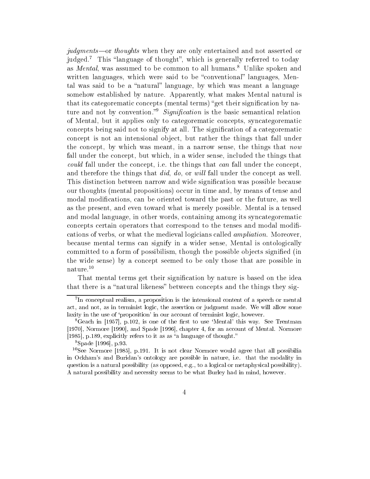judgments or thoughts when they are only entertained and not asserted or judged.<sup>7</sup> This "language of thought", which is generally referred to today as *Mental*, was assumed to be common to all humans.<sup>8</sup> Unlike spoken and written languages, which were said to be "conventional" languages, Mental was said to be a "natural" language, by which was meant a language somehow established by nature. Apparently, what makes Mental natural is that its categorematic concepts (mental terms) "get their signification by nature and not by convention." Signification is the basic semantical relation of Mental, but it applies only to categorematic concepts, syncategorematic concepts being said not to signify at all. The signification of a categorematic concept is not an intensional ob ject, but rather the things that fall under the concept, by which was meant, in a narrow sense, the things that now fall under the concept, but which, in a wider sense, included the things that could fall under the concept, i.e. the things that can fall under the concept, and therefore the things that  $did, do,$  or will fall under the concept as well. This distinction between narrow and wide signification was possible because our thoughts (mental propositions) occur in time and, by means of tense and modal modifications, can be oriented toward the past or the future, as well as the present, and even toward what is merely possible. Mental is a tensed and modal language, in other words, containing among its syncategorematic concepts certain operators that correspond to the tenses and modal modifications of verbs, or what the medieval logicians called ampliation. Moreover, because mental terms can signify in a wider sense, Mental is ontologically committed to a form of possibilism, though the possible objects signified (in the wide sense) by a concept seemed to be only those that are possible in nature.10

That mental terms get their signification by nature is based on the idea that there is a "natural likeness" between concepts and the things they sig-

<sup>7</sup> In conceptual realism, a proposition is the intensional content of a speech or mental act, and not, as in terminist logic, the assertion or judgment made. We will allow some laxity in the use of 'proposition' in our account of terminist logic, however.

 ${}^{8}$ Geach in [1957], p.102, is one of the first to use 'Mental' this way. See Trentman [1970], Normore [1990], and Spade [1996], chapter 4, for an account of Mental. Normore [1985], p.189, explicitly refers to it as as "a language of thought."

<sup>9</sup>Spade [1996], p.93.

 $10$ See Normore [1985], p.191. It is not clear Normore would agree that all possibilia in Ockham's and Buridan's ontology are possible in nature, i.e. that the modality in question is a natural possibility (as opposed, e.g., to a logical or metaphysical possibility). A natural possibility and necessity seems to be what Burley had in mind, however.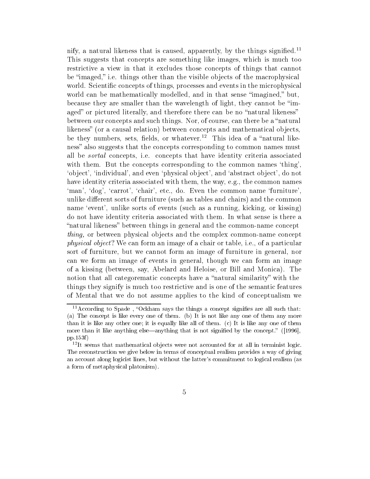nify, a natural likeness that is caused, apparently, by the things signified.<sup>11</sup> This suggests that concepts are something like images, which is much too restrictive a view in that it excludes those concepts of things that cannot be "imaged," i.e. things other than the visible objects of the macrophysical world. Scientific concepts of things, processes and events in the microphysical world can be mathematically modelled, and in that sense "imagined," but, because they are smaller than the wavelength of light, they cannot be "imaged" or pictured literally, and therefore there can be no "natural likeness" between our concepts and such things. Nor, of course, can there be a "natural" likeness" (or a causal relation) between concepts and mathematical objects, be they numbers, sets, fields, or whatever.<sup>12</sup> This idea of a "natural likeness" also suggests that the concepts corresponding to common names must all be sortal concepts, i.e. concepts that have identity criteria associated with them. But the concepts corresponding to the common names 'thing', `ob ject', `individual', and even `physical ob ject', and `abstract ob ject', do not have identity criteria associated with them, the way, e.g., the common names 'man', 'dog', 'carrot', 'chair', etc., do. Even the common name 'furniture', unlike different sorts of furniture (such as tables and chairs) and the common name 'event', unlike sorts of events (such as a running, kicking, or kissing) do not have identity criteria associated with them. In what sense is there a "natural likeness" between things in general and the common-name concept thing, or between physical objects and the complex common-name concept physical object ? We can form an image of a chair or table, i.e., of a particular sort of furniture, but we cannot form an image of furniture in general, nor can we form an image of events in general, though we can form an image of a kissing (between, say, Abelard and Heloise, or Bill and Monica). The notion that all categorematic concepts have a "natural similarity" with the things they signify is much too restrictive and is one of the semantic features of Mental that we do not assume applies to the kind of conceptualism we

 $11$ According to Spade, "Ockham says the things a concept signifies are all such that: (a) The concept is like every one of them. (b) It is not like any one of them any more than it is like any other one; it is equally like all of them. (c) It is like any one of them more than it like anything else—anything that is not signified by the concept." ([1996], pp.153f )

 $12$ It seems that mathematical objects were not accounted for at all in terminist logic. The reconstruction we give below in terms of conceptual realism provides a way of giving an account along logicist lines, but without the latter's commitment to logical realism (as a form of metaphysical platonism).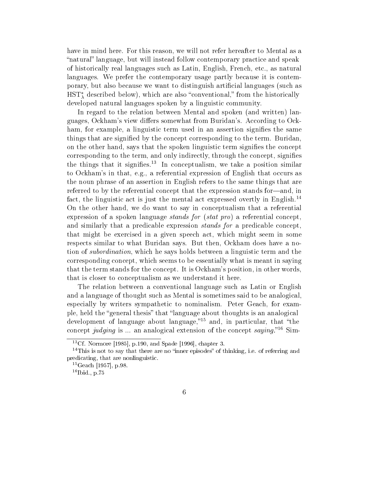have in mind here. For this reason, we will not refer hereafter to Mental as a "natural" language, but will instead follow contemporary practice and speak of historically real languages such as Latin, English, French, etc., as natural languages. We prefer the contemporary usage partly because it is contemporary, but also because we want to distinguish articial languages (such as  $HST^*_{\lambda}$  described below), which are also "conventional," from the historically developed natural languages spoken by a linguistic community.

In regard to the relation between Mental and spoken (and written) languages, Ockham's view differs somewhat from Buridan's. According to Ockham, for example, a linguistic term used in an assertion signifies the same things that are signied by the concept corresponding to the term. Buridan, on the other hand, says that the spoken linguistic term signies the concept corresponding to the term, and only indirectly, through the concept, signies the things that it signifies.<sup>13</sup> In conceptualism, we take a position similar to Ockham's in that, e.g., a referential expression of English that occurs as the noun phrase of an assertion in English refers to the same things that are referred to by the referential concept that the expression stands for-and, in fact, the linguistic act is just the mental act expressed overtly in English.14 On the other hand, we do want to say in conceptualism that a referential expression of a spoken language stands for (stat pro) a referential concept. and similarly that a predicable expression stands for a predicable concept, that might be exercised in a given speech act, which might seem in some respects similar to what Buridan says. But then, Ockham does have a notion of *subordination*, which he says holds between a linguistic term and the corresponding concept, which seems to be essentially what is meant in saying that the term stands for the concept. It is Ockham's position, in other words, that is closer to conceptualism as we understand it here.

The relation between a conventional language such as Latin or English and a language of thought such as Mental is sometimes said to be analogical, especially by writers sympathetic to nominalism. Peter Geach, for example, held the "general thesis" that "language about thoughts is an analogical development of language about language, $15$  and, in particular, that "the concept judging is ... an analogical extension of the concept saying.<sup>"16</sup> Sim-

<sup>13</sup>Cf. Normore [1985], p.190, and Spade [1996], chapter 3.

 $14$ This is not to say that there are no "inner episodes" of thinking, i.e. of referring and predicating, that are nonlinguistic.

 $^{15}$ Geach [1957], p.98.

 $16$ Ibid., p.75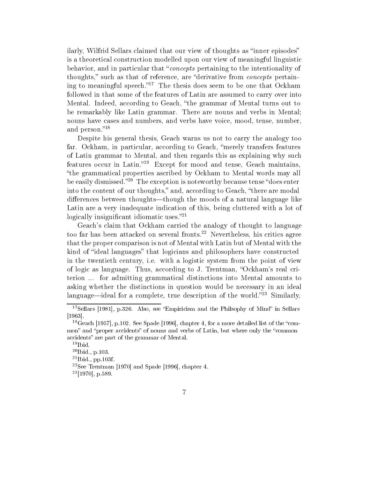ilarly, Wilfrid Sellars claimed that our view of thoughts as "inner episodes" is a theoretical construction modelled upon our view of meaningful linguistic behavior, and in particular that "*concepts* pertaining to the intentionality of thoughts," such as that of reference, are "derivative from *concepts* pertaining to meaningful speech."<sup>17</sup> The thesis does seem to be one that Ockham followed in that some of the features of Latin are assumed to carry over into Mental. Indeed, according to Geach, the grammar of Mental turns out to be remarkably like Latin grammar. There are nouns and verbs in Mental; nouns have cases and numbers, and verbs have voice, mood, tense, number, and person."<sup>18</sup>

Despite his general thesis, Geach warns us not to carry the analogy too far. Ockham, in particular, according to Geach, "merely transfers features of Latin grammar to Mental, and then regards this as explaining why such features occur in Latin."<sup>19</sup> Except for mood and tense, Geach maintains, the grammatical properties ascribed by Ockham to Mental words may all be easily dismissed.<sup>220</sup> The exception is noteworthy because tense "does enter into the content of our thoughts," and, according to Geach, "there are modal differences between thoughts—though the moods of a natural language like Latin are a very inadequate indication of this, being cluttered with a lot of logically insignificant idiomatic uses. $2<sup>21</sup>$ 

Geach's claim that Ockham carried the analogy of thought to language too far has been attacked on several fronts.<sup>22</sup> Nevertheless, his critics agree that the proper comparison is not of Mental with Latin but of Mental with the kind of "ideal languages" that logicians and philosophers have constructed in the twentieth century, i.e. with a logistic system from the point of view of logic as language. Thus, according to J. Trentman, "Ockham's real criterion ... for admitting grammatical distinctions into Mental amounts to asking whether the distinctions in question would be necessary in an ideal language—ideal for a complete, true description of the world.<sup>23</sup> Similarly,

 $23[1970]$ , p.589.

 $17Sellars$  [1981], p.326. Also, see "Empiricism and the Philsophy of Mind" in Sellars [1963].

<sup>&</sup>lt;sup>18</sup>Geach [1957], p.102. See Spade [1996], chapter 4, for a more detailed list of the "common" and "proper accidents" of nouns and verbs of Latin, but where only the "common" accidents" are part of the grammar of Mental.

 $19$ Ibid.

 $^{20}\mathrm{Ibid.},$ p.103.

<sup>21</sup>Ibid., pp.103f.

<sup>22</sup>See Trentman [1970] and Spade [1996], chapter 4.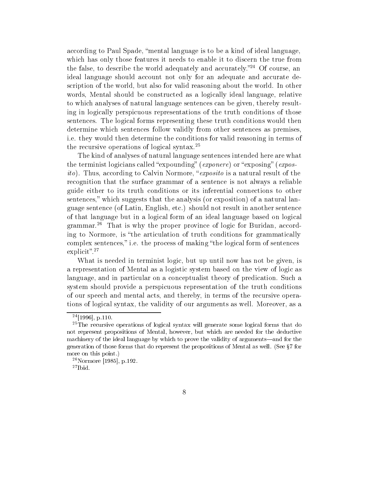according to Paul Spade, "mental language is to be a kind of ideal language, which has only those features it needs to enable it to discern the true from the false, to describe the world adequately and accurately.<sup>24</sup> Of course, an ideal language should account not only for an adequate and accurate description of the world, but also for valid reasoning about the world. In other words, Mental should be constructed as a logically ideal language, relative to which analyses of natural language sentences can be given, thereby resulting in logically perspicuous representations of the truth conditions of those sentences. The logical forms representing these truth conditions would then determine which sentences follow validly from other sentences as premises, i.e. they would then determine the conditions for valid reasoning in terms of the recursive operations of logical syntax.<sup>25</sup>

The kind of analyses of natural language sentences intended here are what the terminist logicians called "expounding" (*exponere*) or "exposing" (*exposito*). Thus, according to Calvin Normore, "*exposito* is a natural result of the recognition that the surface grammar of a sentence is not always a reliable guide either to its truth conditions or its inferential connections to other sentences," which suggests that the analysis (or exposition) of a natural language sentence (of Latin, English, etc.) should not result in another sentence of that language but in a logical form of an ideal language based on logical grammar.26 That is why the proper province of logic for Buridan, according to Normore, is "the articulation of truth conditions for grammatically complex sentences," i.e. the process of making "the logical form of sentences  $explicit"$ .<sup>27</sup>

What is needed in terminist logic, but up until now has not be given, is a representation of Mental as a logistic system based on the view of logic as language, and in particular on a conceptualist theory of predication. Such a system should provide a perspicuous representation of the truth conditions of our speech and mental acts, and thereby, in terms of the recursive operations of logical syntax, the validity of our arguments as well. Moreover, as a

 $24$ [1996], p.110.

<sup>&</sup>lt;sup>25</sup>The recursive operations of logical syntax will generate some logical forms that do not represent propositions of Mental, however, but which are needed for the deductive machinery of the ideal language by which to prove the validity of arguments—and for the generation of those forms that do represent the propositions of Mental as well. (See  $\S7$  for more on this point.)

 $26$ Normore [1985], p.192.

 $27$ Ibid.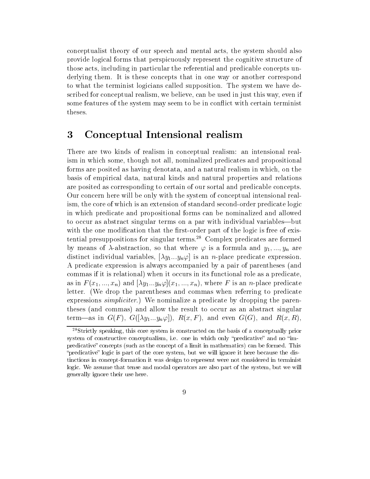conceptualist theory of our speech and mental acts, the system should also provide logical forms that perspicuously represent the cognitive structure of those acts, including in particular the referential and predicable concepts underlying them. It is these concepts that in one way or another correspond to what the terminist logicians called supposition. The system we have described for conceptual realism, we believe, can be used in just this way, even if some features of the system may seem to be in conflict with certain terminist theses.

# 3 Conceptual Intensional realism

There are two kinds of realism in conceptual realism: an intensional realism in which some, though not all, nominalized predicates and propositional forms are posited as having denotata, and a natural realism in which, on the basis of empirical data, natural kinds and natural properties and relations are posited as corresponding to certain of our sortal and predicable concepts. Our concern here will be only with the system of conceptual intensional realism, the core of which is an extension of standard second-order predicate logic in which predicate and propositional forms can be nominalized and allowed to occur as abstract singular terms on a par with individual variables—but with the one modification that the first-order part of the logic is free of existential presuppositions for singular terms.<sup>28</sup> Complex predicates are formed by means of  $\lambda$ -abstraction, so that where  $\varphi$  is a formula and  $y_1, ..., y_n$  are distinct individual variables,  $[\lambda y_1...y_n \varphi]$  is an *n*-place predicate expression. A predicate expression is always accompanied by a pair of parentheses (and commas if it is relational) when it occurs in its functional role as a predicate, as in  $F(x_1, ..., x_n)$  and  $[\lambda y_1... y_n \varphi](x_1, ..., x_n)$ , where F is an n-place predicate letter. (We drop the parentheses and commas when referring to predicate expressions *simpliciter*.) We nominalize a predicate by dropping the parentheses (and commas) and allow the result to occur as an abstract singular term—as in  $G(F)$ ,  $G([\lambda y_1...y_n\varphi])$ ,  $R(x, F)$ , and even  $G(G)$ , and  $R(x, R)$ ,

<sup>28</sup>Strictly speaking, this core system is constructed on the basis of a conceptually prior system of constructive conceptualism, i.e. one in which only "predicative" and no "impredicative" concepts (such as the concept of a limit in mathematics) can be formed. This "predicative" logic is part of the core system, but we will ignore it here because the distinctions in concept-formation it was design to represent were not considered in terminist logic. We assume that tense and modal operators are also part of the system, but we will generally ignore their use here.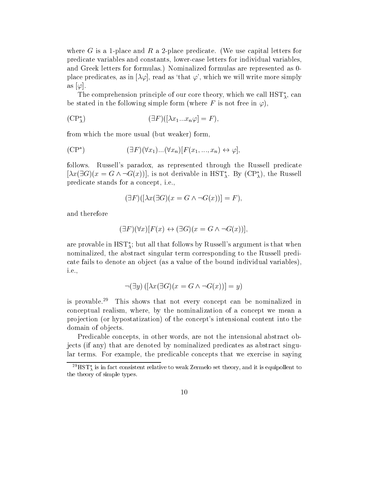where G is a 1-place and R a 2-place predicate. (We use capital letters for predicate variables and constants, lower-case letters for individual variables, and Greek letters for formulas.) Nominalized formulas are represented as 0place predicates, as in  $[\lambda \varphi]$ , read as 'that  $\varphi'$ ', which we will write more simply as  $[\varphi]$ .

The comprehension principle of our core theory, which we call  $\operatorname{HST}^*_{\lambda}$ , can be stated in the following simple form (where F is not free in  $\varphi$ ),

$$
(\text{CP}_{\lambda}^*)\qquad (\exists F)([\lambda x_1...x_n \varphi] = F),
$$

from which the more usual (but weaker) form,

(CP\*) 
$$
(\exists F)(\forall x_1)...(\forall x_n)[F(x_1,...,x_n) \leftrightarrow \varphi],
$$

follows. Russell's paradox, as represented through the Russell predicate  $[\lambda x(\exists G)(x = G \wedge \neg G(x))],$  is not derivable in HST<sub> $\lambda$ </sub>. By  $(\text{CP}_{\lambda}^{*})$ , the Russell predicate stands for a concept, i.e.,

$$
(\exists F)([\lambda x(\exists G)(x = G \land \neg G(x))] = F),
$$

and therefore

$$
(\exists F)(\forall x)[F(x) \leftrightarrow (\exists G)(x = G \land \neg G(x))],
$$

are provable in  $\text{HST}_{\lambda}^{*}$ ; but all that follows by Russell's argument is that when nominalized, the abstract singular term corresponding to the Russell predicate fails to denote an object (as a value of the bound individual variables), i.e.,

$$
\neg(\exists y) ([\lambda x (\exists G)(x = G \land \neg G(x))] = y)
$$

is provable.29 This shows that not every concept can be nominalized in conceptual realism, where, by the nominalization of a concept we mean a projection (or hypostatization) of the concept's intensional content into the domain of objects.

Predicable concepts, in other words, are not the intensional abstract objects (if any) that are denoted by nominalized predicates as abstract singular terms. For example, the predicable concepts that we exercise in saying

 $^{29}$ HST<sup>\*</sup> is in fact consistent relative to weak Zermelo set theory, and it is equipollent to the theory of simple types.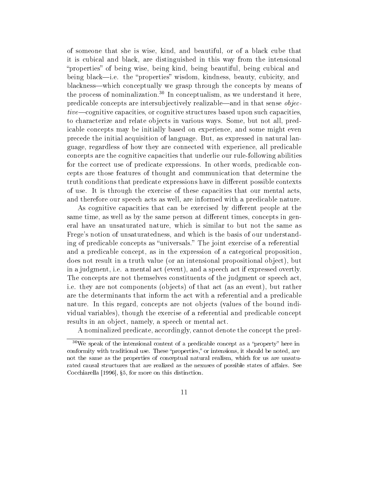of someone that she is wise, kind, and beautiful, or of a black cube that it is cubical and black, are distinguished in this way from the intensional "properties" of being wise, being kind, being beautiful, being cubical and being black—i.e. the "properties" wisdom, kindness, beauty, cubicity, and blackness—which conceptually we grasp through the concepts by means of the process of nominalization.<sup>30</sup> In conceptualism, as we understand it here, predicable concepts are intersubjectively realizable—and in that sense  $object$ tive—cognitive capacities, or cognitive structures based upon such capacities, to characterize and relate ob jects in various ways. Some, but not all, predicable concepts may be initially based on experience, and some might even precede the initial acquisition of language. But, as expressed in natural language, regardless of how they are connected with experience, all predicable concepts are the cognitive capacities that underlie our rule-following abilities for the correct use of predicate expressions. In other words, predicable concepts are those features of thought and communication that determine the truth conditions that predicate expressions have in different possible contexts of use. It is through the exercise of these capacities that our mental acts, and therefore our speech acts as well, are informed with a predicable nature.

As cognitive capacities that can be exercised by different people at the same time, as well as by the same person at different times, concepts in general have an unsaturated nature, which is similar to but not the same as Frege's notion of unsaturatedness, and which is the basis of our understanding of predicable concepts as "universals." The joint exercise of a referential and a predicable concept, as in the expression of a categorical proposition, does not result in a truth value (or an intensional propositional object), but in a judgment, i.e. a mental act (event), and a speech act if expressed overtly. The concepts are not themselves constituents of the judgment or speech act, i.e. they are not components (ob jects) of that act (as an event), but rather are the determinants that inform the act with a referential and a predicable nature. In this regard, concepts are not objects (values of the bound individual variables), though the exercise of a referential and predicable concept results in an object, namely, a speech or mental act.

A nominalized predicate, accordingly, cannot denote the concept the pred-

 $30$ We speak of the intensional content of a predicable concept as a "property" here in conformity with traditional use. These "properties," or intensions, it should be noted, are not the same as the properties of conceptual natural realism, which for us are unsaturated causal structures that are realized as the nexuses of possible states of affairs. See Cocchiarella [1996], §5, for more on this distinction.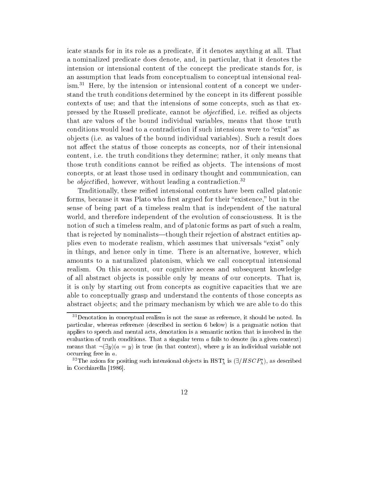icate stands for in its role as a predicate, if it denotes anything at all. That a nominalized predicate does denote, and, in particular, that it denotes the intension or intensional content of the concept the predicate stands for, is an assumption that leads from conceptualism to conceptual intensional realism.31 Here, by the intension or intensional content of a concept we understand the truth conditions determined by the concept in its different possible contexts of use; and that the intensions of some concepts, such as that expressed by the Russell predicate, cannot be *objectified*, i.e. reified as objects that are values of the bound individual variables, means that those truth conditions would lead to a contradiction if such intensions were to "exist" as ob jects (i.e. as values of the bound individual variables). Such a result does not affect the status of those concepts as concepts, nor of their intensional content, i.e. the truth conditions they determine; rather, it only means that those truth conditions cannot be reified as objects. The intensions of most concepts, or at least those used in ordinary thought and communication, can be *objectified*, however, without leading a contradiction.<sup>32</sup>

Traditionally, these reified intensional contents have been called platonic forms, because it was Plato who first argued for their "existence," but in the sense of being part of a timeless realm that is independent of the natural world, and therefore independent of the evolution of consciousness. It is the notion of such a timeless realm, and of platonic forms as part of such a realm, that is rejected by nominalists—though their rejection of abstract entities applies even to moderate realism, which assumes that universals "exist" only in things, and hence only in time. There is an alternative, however, which amounts to a naturalized platonism, which we call conceptual intensional realism. On this account, our cognitive access and subsequent knowledge of all abstract ob jects is possible only by means of our concepts. That is, it is only by starting out from concepts as cognitive capacities that we are able to conceptually grasp and understand the contents of those concepts as abstract ob jects; and the primary mechanism by which we are able to do this

<sup>&</sup>lt;sup>31</sup>Denotation in conceptual realism is not the same as reference, it should be noted. In particular, whereas reference (described in section 6 below) is a pragmatic notion that applies to speech and mental acts, denotation is a semantic notion that is involved in the evaluation of truth conditions. That a singular term  $\alpha$  fails to denote (in a given context) means that  $\neg(\exists y)(a = y)$  is true (in that context), where y is an individual variable not occurring free in a.g. the initial contract of  $\mathbf{f}$  a.g. the initial contract of  $\mathbf{f}$ 

 $32$ The axiom for positing such intensional objects in HST  $_{\lambda}$  is ( $\exists$ /HSC $P_{\lambda}$ ), as described in Cocchiarella [1986].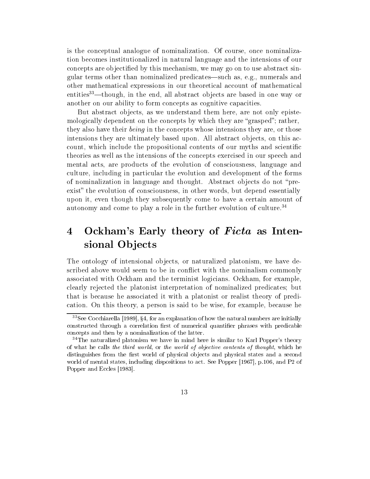is the conceptual analogue of nominalization. Of course, once nominalization becomes institutionalized in natural language and the intensions of our concepts are objectified by this mechanism, we may go on to use abstract singular terms other than nominalized predicates—such as, e.g., numerals and other mathematical expressions in our theoretical account of mathematical entities<sup>33</sup>—though, in the end, all abstract objects are based in one way or another on our ability to form concepts as cognitive capacities.

But abstract objects, as we understand them here, are not only epistemologically dependent on the concepts by which they are "grasped"; rather, they also have their being in the concepts whose intensions they are, or those intensions they are ultimately based upon. All abstract objects, on this account, which include the propositional contents of our myths and scientific theories as well as the intensions of the concepts exercised in our speech and mental acts, are products of the evolution of consciousness, language and culture, including in particular the evolution and development of the forms of nominalization in language and thought. Abstract objects do not "preexist" the evolution of consciousness, in other words, but depend essentially upon it, even though they subsequently come to have a certain amount of autonomy and come to play a role in the further evolution of culture.<sup>34</sup>

# 4 Ockham's Early theory of Ficta as Intensional Objects

The ontology of intensional objects, or naturalized platonism, we have described above would seem to be in conflict with the nominalism commonly associated with Ockham and the terminist logicians. Ockham, for example, clearly rejected the platonist interpretation of nominalized predicates; but that is because he associated it with a platonist or realist theory of predication. On this theory, a person is said to be wise, for example, because he

 $33$ See Cocchiarella [1989], §4, for an explanation of how the natural numbers are initially constructed through a correlation first of numerical quantifier phrases with predicable concepts and then by a nominalization of the latter.

<sup>&</sup>lt;sup>34</sup>The naturalized platonism we have in mind here is similar to Karl Popper's theory of what he calls the third world, or the world of objective contents of thought, which he distinguishes from the first world of physical objects and physical states and a second world of mental states, including dispositions to act. See Popper [1967], p.106, and P2 of Popper and Eccles [1983].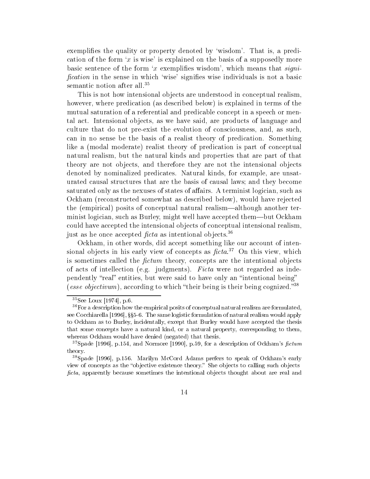exemplifies the quality or property denoted by 'wisdom'. That is, a predication of the form 'x is wise' is explained on the basis of a supposedly more basic sentence of the form 'x exemplifies wisdom', which means that  $signi$ fication in the sense in which 'wise' signifies wise individuals is not a basic semantic notion after all.<sup>35</sup>

This is not how intensional objects are understood in conceptual realism, however, where predication (as described below) is explained in terms of the mutual saturation of a referential and predicable concept in a speech or mental act. Intensional objects, as we have said, are products of language and culture that do not pre-exist the evolution of consciousness, and, as such, can in no sense be the basis of a realist theory of predication. Something like a (modal moderate) realist theory of predication is part of conceptual natural realism, but the natural kinds and properties that are part of that theory are not objects, and therefore they are not the intensional objects denoted by nominalized predicates. Natural kinds, for example, are unsaturated causal structures that are the basis of causal laws; and they become saturated only as the nexuses of states of affairs. A terminist logician, such as Ockham (reconstructed somewhat as described below), would have rejected the (empirical) posits of conceptual natural realism—although another terminist logician, such as Burley, might well have accepted them—but Ockham could have accepted the intensional objects of conceptual intensional realism, just as he once accepted *ficta* as intentional objects.<sup>36</sup>

Ockham, in other words, did accept something like our account of intensional objects in his early view of concepts as  $\beta$ *ficta*.<sup>37</sup> On this view, which is sometimes called the  $fictum$  theory, concepts are the intentional objects of acts of intellection (e.g. judgments). Ficta were not regarded as independently "real" entities, but were said to have only an "intentional being" (esse objectivum), according to which "their being is their being cognized."<sup>38</sup>

<sup>35</sup>See Loux [1974], p.6.

<sup>&</sup>lt;sup>36</sup>For a description how the empirical posits of conceptual natural realism are formulated, see Cocchiarella  $[1996]$ ,  $\S5-6$ . The same logistic formulation of natural realism would apply to Ockham as to Burley, incidentally, except that Burley would have accepted the thesis that some concepts have a natural kind, or a natural property, corresponding to them, whereas Ockham would have denied (negated) that thesis.

<sup>&</sup>lt;sup>37</sup>Spade [1996], p.154, and Normore [1990], p.59, for a description of Ockham's *fictum* theory.

<sup>38</sup>Spade [1996], p.156. Marilyn McCord Adams prefers to speak of Ockham's early view of concepts as the "objective existence theory." She objects to calling such objects  $\text{ficta}$ , apparently because sometimes the intentional objects thought about are real and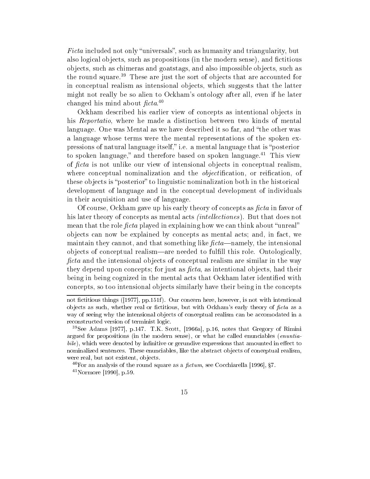$Ficta$  included not only "universals", such as humanity and triangularity, but also logical objects, such as propositions (in the modern sense), and fictitious ob jects, such as chimeras and goatstags, and also impossible ob jects, such as the round square.<sup>39</sup> These are just the sort of objects that are accounted for in conceptual realism as intensional objects, which suggests that the latter might not really be so alien to Ockham's ontology after all, even if he later changed his mind about  $\text{ficta}.^{40}$ 

Ockham described his earlier view of concepts as intentional ob jects in his Reportatio, where he made a distinction between two kinds of mental language. One was Mental as we have described it so far, and "the other was a language whose terms were the mental representations of the spoken expressions of natural language itself," i.e. a mental language that is "posterior to spoken language," and therefore based on spoken language. $41$  This view of  $ficta$  is not unlike our view of intensional objects in conceptual realism, where conceptual nominalization and the *object* ification, or reification, of these objects is "posterior" to linguistic nominalization both in the historical development of language and in the conceptual development of individuals in their acquisition and use of language.

Of course, Ockham gave up his early theory of concepts as  $\text{ficta}$  in favor of his later theory of concepts as mental acts *(intellectiones)*. But that does not mean that the role  $\text{ficta}$  played in explaining how we can think about "unreal" ob jects can now be explained by concepts as mental acts; and, in fact, we maintain they cannot, and that something like  $\hat{\mu}cta$ —namely, the intensional objects of conceptual realism—are needed to fulfill this role. Ontologically, ficta and the intensional objects of conceptual realism are similar in the way they depend upon concepts; for just as *ficta*, as intentional objects, had their being in being cognized in the mental acts that Ockham later identified with concepts, so too intensional ob jects similarly have their being in the concepts

not fictitious things ([1977], pp.151f). Our concern here, however, is not with intentional objects as such, whether real or fictitious, but with Ockham's early theory of ficta as a way of seeing why the intensional objects of conceptual realism can be accomodated in a reconstructed version of terminist logic.

<sup>39</sup>See Adams [1977], p.147. T.K. Scott, [1966a], p.16, notes that Gregory of Rimini argued for propositions (in the modern sense), or what he called enunciables (enuntia $bile$ , which were denoted by infinitive or gerundive expressions that amounted in effect to nominalized sentences. These enunciables, like the abstract ob jects of conceptual realism, were real, but not existent, objects.

 $^{40}$ For an analysis of the round square as a *fictum*, see Cocchiarella [1996], §7. 41Normore [1990], p.59.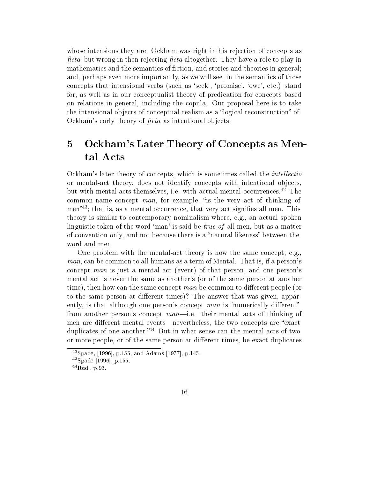whose intensions they are. Ockham was right in his rejection of concepts as ficta, but wrong in then rejecting ficta altogether. They have a role to play in mathematics and the semantics of fiction, and stories and theories in general; and, perhaps even more importantly, as we will see, in the semantics of those concepts that intensional verbs (such as `seek', `promise', `owe', etc.) stand for, as well as in our conceptualist theory of predication for concepts based on relations in general, including the copula. Our proposal here is to take the intensional objects of conceptual realism as a "logical reconstruction" of Ockham's early theory of  $\beta$ *ficta* as intentional objects.

# 5 Ockham's Later Theory of Concepts as Mental Acts

Ockham's later theory of concepts, which is sometimes called the *intellectio* or mental-act theory, does not identify concepts with intentional objects, but with mental acts themselves, i.e. with actual mental occurrences.<sup>42</sup> The common-name concept man, for example, "is the very act of thinking of men $^{343}$ ; that is, as a mental occurrence, that very act signifies all men. This theory is similar to contemporary nominalism where, e.g., an actual spoken linguistic token of the word 'man' is said be *true of* all men, but as a matter of convention only, and not because there is a "natural likeness" between the word and men.

One problem with the mental-act theory is how the same concept, e.g., man, can be common to all humans as a term of Mental. That is, if a person's concept man is just a mental act (event) of that person, and one person's mental act is never the same as another's (or of the same person atanother time), then how can the same concept man be common to different people (or to the same person at different times)? The answer that was given, apparently, is that although one person's concept man is "numerically different" from another person's concept  $man$ —i.e. their mental acts of thinking of men are different mental events—nevertheless, the two concepts are "exact duplicates of one another.<sup> $34$ </sup> But in what sense can the mental acts of two or more people, or of the same person at different times, be exact duplicates

<sup>42</sup>Spade, [1996], p.155, and Adams [1977], p.145.

<sup>43</sup>Spade [1996], p.155.

 $44$ Ibid., p.93.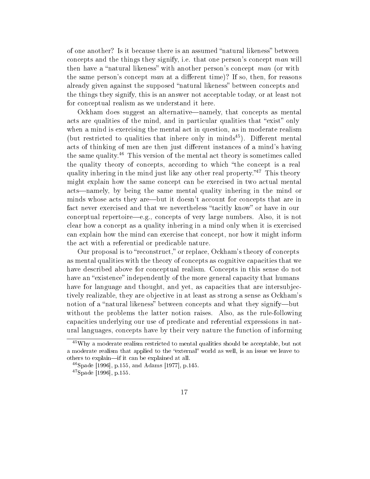of one another? Is it because there is an assumed "natural likeness" between concepts and the things they signify, i.e. that one person's concept man will then have a "natural likeness" with another person's concept man (or with the same person's concept man at a different time)? If so, then, for reasons already given against the supposed "natural likeness" between concepts and the things they signify, this is an answer not acceptable today, or at least not for conceptual realism as we understand it here.

Ockham does suggest an alternative—namely, that concepts as mental acts are qualities of the mind, and in particular qualities that "exist" only when a mind is exercising the mental act in question, as in moderate realism (but restricted to qualities that inhere only in minds<sup>45</sup>). Different mental acts of thinking of men are then just different instances of a mind's having the same quality.46 This version of the mental act theory is sometimes called the quality theory of concepts, according to which "the concept is a real quality inhering in the mind just like any other real property.<sup>47</sup> This theory might explain how the same concept can be exercised in two actual mental acts—namely, by being the same mental quality inhering in the mind or minds whose acts they are—but it doesn't account for concepts that are in fact never exercised and that we nevertheless "tacitly know" or have in our conceptual repertoire—e.g., concepts of very large numbers. Also, it is not clear how a concept as a quality inhering in a mind only when it is exercised can explain how the mind can exercise that concept, nor how it might inform the act with a referential or predicable nature.

Our proposal is to "reconstruct," or replace, Ockham's theory of concepts as mental qualities with the theory of concepts as cognitive capacities that we have described above for conceptual realism. Concepts in this sense do not have an "existence" independently of the more general capacity that humans have for language and thought, and yet, as capacities that are intersubjectively realizable, they are objective in at least as strong a sense as Ockham's notion of a "natural likeness" between concepts and what they signify—but without the problems the latter notion raises. Also, as the rule-following capacities underlying our use of predicate and referential expressions in natural languages, concepts have by their very nature the function of informing

<sup>45</sup>Why a moderate realism restricted to mental qualities should be acceptable, but not a moderate realism that applied to the "external" world as well, is an issue we leave to others to explain—if it can be explained at all.

<sup>46</sup>Spade [1996], p.155, and Adams [1977], p.145.

<sup>47</sup>Spade [1996], p.155.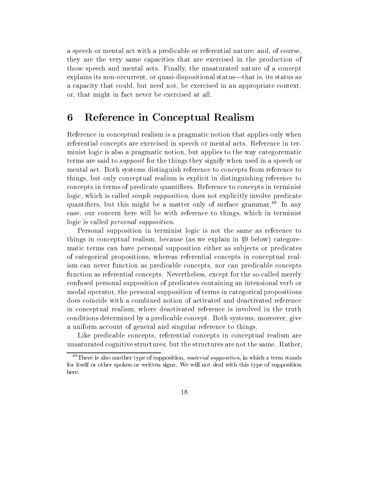a speech or mental act with a predicable or referential nature; and, of course, they are the very same capacities that are exercised in the production of those speech and mental acts. Finally, the unsaturated nature of a concept explains its non-occurrent, or quasi-dispositional status—that is, its status as a capacity that could, but need not, be exercised in an appropriate context. or, that might in fact never be exercised at all.

# 6 Reference in Conceptual Realism

Reference in conceptual realism is a pragmatic notion that applies only when referential concepts are exercised in speech or mental acts. Reference in terminist logic is also a pragmatic notion, but applies to the way categorematic terms are said to supposit for the things they signify when used in a speech or mental act. Both systems distinguish reference to concepts from reference to things, but only conceptual realism is explicit in distinguishing reference to concepts in terms of predicate quantifiers. Reference to concepts in terminist logic, which is called *simple supposition*, does not explicitly involve predicate quantifiers, but this might be a matter only of surface grammar.<sup>48</sup> In any case, our concern here will be with reference to things, which in terminist logic is called personal supposition.

Personal supposition in terminist logic is not the same as reference to things in conceptual realism, because (as we explain in  $\S 9$  below) categorematic terms can have personal supposition either as subjects or predicates of categorical propositions, whereas referential concepts in conceptual realism can never function as predicable concepts, nor can predicable concepts function as referential concepts. Nevertheless, except for the so-called merely confused personal supposition of predicates containing an intensional verb or modal operator, the personal supposition of terms in categorical propositions does coincide with a combined notion of activated and deactivated reference in conceptual realism, where deactivated reference is involved in the truth conditions determined by a predicable concept. Both systems, moreover, give a uniform account of general and singular reference to things.

Like predicable concepts, referential concepts in conceptual realism are unsaturated cognitive structures; but the structures are not the same. Rather,

 $48$ There is also another type of supposition, material supposition, in which a term stands for itself or other spoken or written signs. We will not deal with this type of supposition here.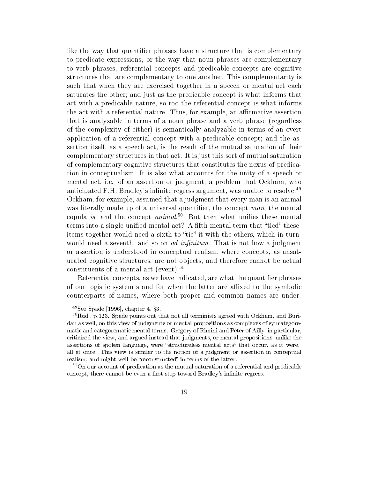like the way that quantifier phrases have a structure that is complementary to predicate expressions, or the way that noun phrases are complementary to verb phrases, referential concepts and predicable concepts are cognitive structures that are complementary to one another. This complementarity is such that when they are exercised together in a speech or mental act each saturates the other; and just as the predicable concept is what informs that act with a predicable nature, so too the referential concept is what informs the act with a referential nature. Thus, for example, an affirmative assertion that is analyzable in terms of a noun phrase and a verb phrase (regardless of the complexity of either) is semantically analyzable in terms of an overt application of a referential concept with a predicable concept; and the assertion itself, as a speech act, is the result of the mutual saturation of their complementary structures in that act. It is just this sort of mutual saturation of complementary cognitive structures that constitutes the nexus of predication in conceptualism. It is also what accounts for the unity of a speech or mental act, i.e. of an assertion or judgment, a problem that Ockham, who anticipated F.H. Bradley's infinite regress argument, was unable to resolve.<sup>49</sup> Ockham, for example, assumed that a judgment that every man is an animal was literally made up of a universal quantifier, the concept  $man$ , the mental copula is, and the concept  $animal<sup>50</sup>$  But then what unifies these mental terms into a single unified mental act? A fifth mental term that "tied" these items together would need a sixth to "tie" it with the others, which in turn would need a seventh, and so on *ad infinitum*. That is not how a judgment or assertion is understood in conceptual realism, where concepts, as unsaturated cognitive structures, are not objects, and therefore cannot be actual constituents of a mental act (event).<sup>51</sup>

Referential concepts, as we have indicated, are what the quantifier phrases of our logistic system stand for when the latter are affixed to the symbolic counterparts of names, where both proper and common names are under-

 $49$ See Spade [1996], chapter 4, §3.

 $50$ Ibid., p.123. Spade points out that not all terminists agreed with Ockham, and Buridan as well, on this view of judgments or mental propositions as complexes of syncategorematic and categorematic mental terms. Gregory of Rimini and Peter of Ailly, in particular, criticized the view, and argued instead that judgments, or mental propositions, unlike the assertions of spoken language, were "structureless mental acts" that occur, as it were, all at once. This view is similar to the notion of a judgment or assertion in conceptual realism, and might well be "reconstructed" in terms of the latter.

<sup>&</sup>lt;sup>51</sup>On our account of predication as the mutual saturation of a referential and predicable concept, there cannot be even a first step toward Bradley's infinite regress.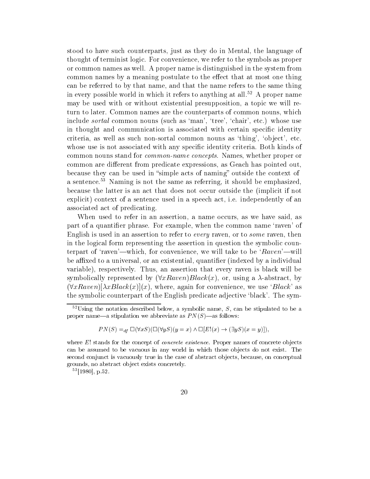stood to have such counterparts, just as they do in Mental, the language of thought of terminist logic. For convenience, we refer to the symbols as proper or common names as well. A proper name is distinguished in the system from common names by a meaning postulate to the effect that at most one thing can be referred to by that name, and that the name refers to the same thing in every possible world in which it refers to anything at all.<sup>52</sup> A proper name may be used with or without existential presupposition, a topic we will return to later. Common names are the counterparts of common nouns, which include *sortal* common nouns (such as 'man', 'tree', 'chair', etc.) whose use in thought and communication is associated with certain specific identity criteria, as well as such non-sortal common nouns as `thing', `ob ject', etc. whose use is not associated with any specific identity criteria. Both kinds of common nouns stand for common-name concepts. Names, whether proper or common are different from predicate expressions, as Geach has pointed out, because they can be used in "simple acts of naming" outside the context of a sentence.53 Naming is not the same as referring, it should be emphasized, because the latter is an act that does not occur outside the (implicit if not explicit) context of a sentence used in a speech act, i.e. independently of an associated act of predicating.

When used to refer in an assertion, a name occurs, as we have said, as part of a quantifier phrase. For example, when the common name 'raven' of English is used in an assertion to refer to every raven, or to some raven, then in the logical form representing the assertion in question the symbolic counterpart of 'raven'—which, for convenience, we will take to be ' $Raven$ —will be affixed to a universal, or an existential, quantifier (indexed by a individual variable), respectively. Thus, an assertion that every raven is black will be symbolically represented by  $(\forall xRaven) Black(x)$ , or, using a  $\lambda$ -abstract, by  $(\forall x Raven) [\lambda x Black(x)](x)$ , where, again for convenience, we use 'Black' as the symbolic counterpart of the English predicate adjective `black'. The sym-

$$
PN(S) =_{df} \Box(\forall x S)(\Box(\forall y S)(y = x) \land \Box[E!(x) \rightarrow (\exists y S)(x = y)]),
$$

53[1980], p.52.

 $52$ Using the notation described below, a symbolic name, S, can be stipulated to be a proper name—a stipulation we abbreviate as  $PN(S)$ —as follows:

where  $E!$  stands for the concept of *concrete existence*. Proper names of concrete objects can be assumed to be vacuous in any world in which those objects do not exist. The second conjunct is vacuously true in the case of abstract ob jects, because, on conceptual grounds, no abstract ob ject exists concretely.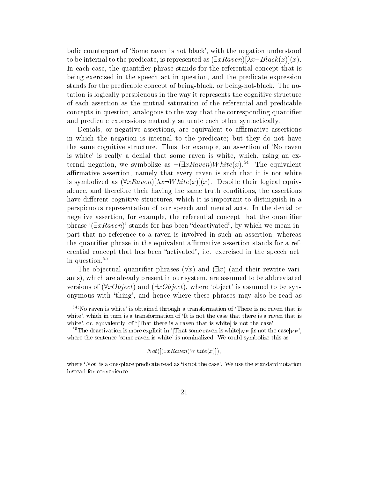bolic counterpart of `Some raven is not black', with the negation understood to be internal to the predicate, is represented as  $(\exists x Raven)(\lambda x \neg Black(x))$ . In each case, the quantifier phrase stands for the referential concept that is being exercised in the speech act in question, and the predicate expression stands for the predicable concept of being-black, or being-not-black. The notation is logically perspicuous in the way it represents the cognitive structure of each assertion as the mutual saturation of the referential and predicable concepts in question, analogous to the way that the corresponding quantifier and predicate expressions mutually saturate each other syntactically.

Denials, or negative assertions, are equivalent to affirmative assertions in which the negation isinternal to the predicate; but they do not have the same cognitive structure. Thus, for example, an assertion of `No raven is white' is really a denial that some raven is white, which, using an external negation, we symbolize as  $\neg(\exists xRaven) White(x).$ <sup>54</sup> The equivalent affirmative assertion, namely that every raven is such that it is not white is symbolized as  $(\forall xRaven)(\lambda x \neg White(x)(x)$ . Despite their logical equivalence, and therefore their having the same truth conditions, the assertions have different cognitive structures, which it is important to distinguish in a perspicuous representation of our speech and mental acts. In the denial or negative assertion, for example, the referential concept that the quantifier phrase  $(\exists xRaven)$ ' stands for has been "deactivated", by which we mean in part that no reference to a raven is involved in such an assertion, whereas the quantifier phrase in the equivalent affirmative assertion stands for a referential concept that has been "activated", i.e. exercised in the speech act in question.55

The objectual quantifier phrases  $(\forall x)$  and  $(\exists x)$  (and their rewrite variants), which are already present in our system, are assumed to be abbreviated versions of  $(\forall xObject)$  and  $(\exists xObject)$ , where 'object' is assumed to be synonymous with `thing', and hence where these phrases may also be read as

 $Not([(\exists x\text{Raven})\text{White}(x)]),$ 

 $54^{\circ}$ No raven is white' is obtained through a transformation of 'There is no raven that is white', which in turn is a transformation of 'It is not the case that there is a raven that is white', or, equvalently, of '[That there is a raven that is white] is not the case'.

<sup>&</sup>lt;sup>55</sup>The deactivation is more explicit in '[That some raven is white] $_{NP}$  [is not the case] $_{VP}$ ', where the sentence 'some raven is white' is nominalized. We could symbolize this as

where 'Not' is a one-place predicate read as 'is not the case'. We use the standard notation instead for convenience.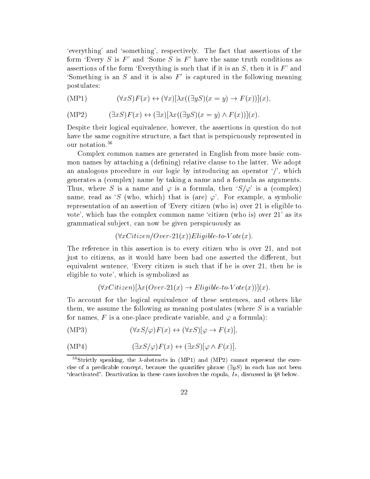`everything' and `something', respectively. The fact that assertions of the form 'Every S is F' and 'Some S is F' have the same truth conditions as assertions of the form 'Everything is such that if it is an  $S$ , then it is  $F'$  and 'Something is an S and it is also  $F'$  is captured in the following meaning postulates:

$$
(MP1) \qquad (\forall x S) F(x) \leftrightarrow (\forall x) [\lambda x ((\exists y S)(x = y) \rightarrow F(x))](x),
$$

$$
(MP2) \qquad (\exists x S) F(x) \leftrightarrow (\exists x) [\lambda x ((\exists y S)(x = y) \land F(x))](x).
$$

Despite their logical equivalence, however, the assertions in question do not have the same cognitive structure, a fact that is perspicuously represented in our notation.<sup>56</sup>

Complex common names are generated in English from more basic common names by attaching a (defining) relative clause to the latter. We adopt an analogous procedure in our logic by introducing an operator  $\frac{1}{2}$ , which generates a (complex) name by taking a name and a formula as arguments. Thus, where S is a name and  $\varphi$  is a formula, then ' $S/\varphi'$  is a (complex) name, read as 'S (who, which) that is (are)  $\varphi'$ . For example, a symbolic representation of an assertion of `Every citizen (who is) over <sup>21</sup> is eligible to vote', which has the complex common name 'citizen (who is) over 21' as its grammatical sub ject, can now be given perspicuously as

$$
(\forall x Citizen/Over-21(x)) Eligible-to-Vote(x).
$$

The reference in this assertion is to every citizen who is over 21, and not just to citizens, as it would have been had one asserted the different, but equivalent sentence, 'Every citizen is such that if he is over 21, then he is eligible to vote', which is symbolized as

$$
(\forall x Citizen)[\lambda x (Over-21(x) \to Eligible-to-Vote(x))](x).
$$

To account for the logical equivalence of these sentences, and others like them, we assume the following as meaning postulates (where S is a variable for names, F is a one-place predicate variable, and  $\varphi$  a formula):

$$
(\text{MP3}) \qquad (\forall x S/\varphi) F(x) \leftrightarrow (\forall x S)[\varphi \to F(x)],
$$

$$
(MP4) \qquad (\exists x S/\varphi) F(x) \leftrightarrow (\exists x S)[\varphi \wedge F(x)].
$$

<sup>56</sup>Strictly speaking, the  $\lambda$ -abstracts in (MP1) and (MP2) cannot represent the exercise of a predicable concept, because the quantifier phrase  $(\exists y S)$  in each has not been "deactivated". Deactivation in these cases involves the copula,  $Is$ , discussed in §8 below.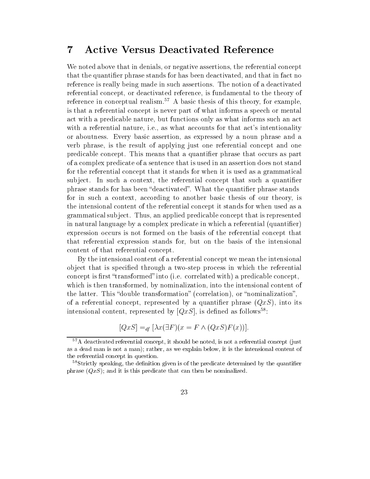#### **Active Versus Deactivated Reference**  $\overline{7}$

We noted above that in denials, or negative assertions, the referential concept that the quantifier phrase stands for has been deactivated, and that in fact no reference is really being made in such assertions. The notion of a deactivated referential concept, or deactivated reference, is fundamental to the theory of reference in conceptual realism.<sup>57</sup> A basic thesis of this theory, for example, is that a referential concept is never part of what informs a speech or mental act with a predicable nature, but functions only as what informs such an act with a referential nature, i.e., as what accounts for that act's intentionality or aboutness. Every basic assertion, as expressed by a noun phrase and a verb phrase, is the result of applying just one referential concept and one predicable concept. This means that a quantier phrase that occurs as part of a complex predicate of a sentence that is used in an assertion does not stand for the referential concept that it stands for when it is used as a grammatical subject. In such a context, the referential concept that such a quantifier phrase stands for has been "deactivated". What the quantifier phrase stands for in such a context, according to another basic thesis of our theory, is the intensional content of the referential concept it stands for when used as a grammatical sub ject. Thus, an applied predicable concept that is represented in natural language by a complex predicate in which a referential (quantifier) expression occurs is not formed on the basis of the referential concept that that referential expression stands for, but on the basis of the intensional content of that referential concept.

By the intensional content of a referential concept we mean the intensional object that is specified through a two-step process in which the referential concept is first "transformed" into (i.e. correlated with) a predicable concept, which is then transformed, by nominalization, into the intensional content of the latter. This "double transformation" (correlation), or "nominalization", of a referential concept, represented by a quantifier phrase  $(QxS)$ , into its intensional content, represented by  $[QxS]$ , is defined as follows<sup>58</sup>:

$$
[QxS] =_{df} [\lambda x(\exists F)(x = F \land (QxS)F(x))].
$$

<sup>57</sup>A deactivated referential concept, it should be noted, is not a referential concept (just as a dead man is not a man); rather, as we explain below, it is the intensional content of the referential concept in question.

 $58$ Strictly speaking, the definition given is of the predicate determined by the quantifier phrase  $(QxS)$ ; and it is this predicate that can then be nominalized.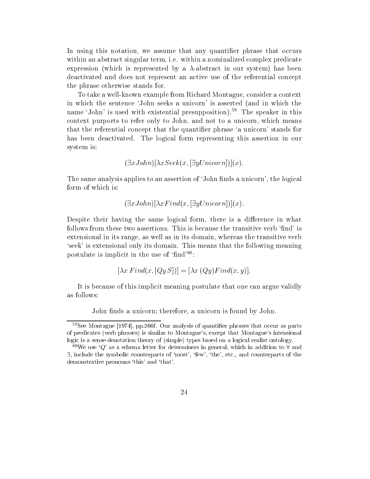In using this notation, we assume that any quantifier phrase that occurs within an abstract singular term, i.e. within a nominalized complex predicate expression (which is represented by a  $\lambda$ -abstract in our system) has been deactivated and does not represent an active use of the referential concept the phrase otherwise stands for.

To take a well-known example from Richard Montague, consider a context in which the sentence `John seeks a unicorn' is asserted (and in which the name 'John' is used with existential presupposition).<sup>59</sup> The speaker in this context purports to refer only to John, and not to a unicorn, which means that the referential concept that the quantifier phrase 'a unicorn' stands for has been deactivated. The logical form representing this assertion in our system is:

$$
(\exists x \text{John})[\lambda x \text{Seek}(x, [\exists y \text{Union}])](x).
$$

The same analysis applies to an assertion of 'John finds a unicorn', the logical form of which is:

$$
(\exists x John)[\lambda x Find(x, [\exists y Unionin])](x).
$$

Despite their having the same logical form, there is a difference in what follows from these two assertions. This is because the transitive verb 'find' is extensional in its range, as well as in its domain, whereas the transitive verb `seek' is extensional only its domain. This means that the following meaning postulate is implicit in the use of 'find'<sup>60</sup>:

$$
[\lambda x \, Find(x, [Qy S])] = [\lambda x \, (Qy) \, Find(x, y)].
$$

It is because of this implicit meaning postulate that one can argue validly as follows:

John finds a unicorn; therefore, a unicorn is found by John.

 $59$ See Montague [1974], pp.266f. Our analysis of quantifier phrases that occur as parts of predicates (verb phrases) is similar to Montague's, except that Montague's intensional logic is a sense-denotation theory of (simple) types based on a logical realist ontology.

<sup>&</sup>lt;sup>60</sup>We use 'Q' as a schema letter for determiners in general, which in addition to  $\forall$  and  $\exists$ , include the symbolic counterparts of 'most', 'few', 'the', etc., and counterparts of the demonstrative pronouns 'this' and 'that'.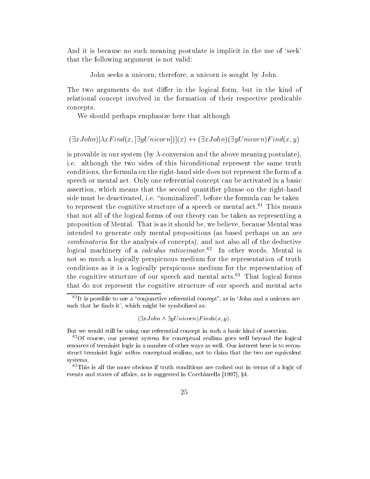And it is because no such meaning postulate is implicit in the use of 'seek' that the following argument is not valid:

John seeks a unicorn; therefore, a unicorn is sought by John.

The two arguments do not differ in the logical form, but in the kind of relational concept involved in the formation of their respective predicable concepts.

We should perhaps emphasize here that although

#### $(\exists x \text{John})[\lambda x \text{Find}(x, [\exists y \text{Union}]](x) \leftrightarrow (\exists x \text{John})(\exists y \text{Union}) \text{Find}(x, y))$

is provable in our system (by  $\lambda$ -conversion and the above meaning postulate), i.e. although the two sides of this biconditional represent the same truth conditions, the formula on the right-hand side does not represent the form of a speech or mental act. Only one referential concept can be activated in a basic assertion, which means that the second quantifier phrase on the right-hand side must be deactivated, i.e. "nominalized", before the formula can be taken to represent the cognitive structure of a speech or mental  $act<sup>61</sup>$ . This means that not all of the logical forms of our theory can be taken as representing a proposition of Mental. That is as it should be, we believe, because Mental was intended to generate only mental propositions (as based perhaps on an ars combinatoria for the analysis of concepts), and not also all of the deductive logical machinery of a *calculus ratiocinator*.<sup>62</sup> In other words, Mental is not so much a logically perspicuous medium for the representation of truth conditions as it is a logically perspicuous medium for the representation of the cognitive structure of our speech and mental acts. $63$  That logical forms that do not represent the cognitive structure of our speech and mental acts

But we would still be using one referential concept in such a basic kind of assertion.

 $61$ It is possible to use a "conjunctive referential concept", as in 'John and a unicorn are such that he finds it', which might be symbolized as:

 $(\exists x \textit{John} \land \exists y \textit{Union} \land \textit{Finds}(x, y)).$ 

 $62$ Of course, our present system for conceptual realism goes well beyond the logical resouces of terminist logic in a number of other ways as well. Our interest here is to reconstruct terminist logic within conceptual realism, not to claim that the two are equivalent systems.

 $63$ This is all the more obvious if truth conditions are cashed out in terms of a logic of events and states of affairs, as is suggested in Cocchiarella [1997], §4.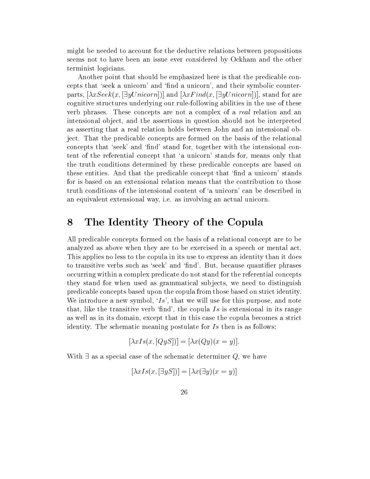might be needed to account for the deductive relations between propositions seems not to have been an issue ever considered by Ockham and the other terminist logicians.

Another point that should be emphasized here is that the predicable concepts that 'seek a unicorn' and 'find a unicorn', and their symbolic counterparts,  $[\lambda x \text{See} k(x, \exists y \text{Uniform})]$  and  $[\lambda x \text{Find}(x, \exists y \text{Uniform})]$ , stand for are cognitive structures underlying our rule-following abilities in the use of these verb phrases. These concepts are not a complex of a real relation and an intensional ob ject, and the assertions in question should not be interpreted as asserting that a real relation holds between John and an intensional object. That the predicable concepts are formed on the basis of the relational concepts that 'seek' and 'find' stand for, together with the intensional content of the referential concept that `a unicorn' stands for, means only that the truth conditions determined by these predicable concepts are based on these entities. And that the predicable concept that 'find a unicorn' stands for is based on an extensional relation means that the contribution to those truth conditions of the intensional content of `a unicorn' can be described in an equivalent extensional way, i.e. as involving an actual unicorn.

# 8 The Identity Theory of the Copula

All predicable concepts formed on the basis of a relational concept are to be analyzed asabove when they are to be exercised in a speech or mental act. This applies no less to the copula in its use to express an identity than it does to transitive verbs such as 'seek' and 'find'. But, because quantifier phrases occurring within a complex predicate do not stand for the referential concepts they stand for when used as grammatical subjects, we need to distinguish predicable concepts based upon the copula from those based on strict identity. We introduce a new symbol,  $IS'$ , that we will use for this purpose, and note that, like the transitive verb 'find', the copula  $Is$  is extensional in its range as well as in its domain, except that in this case the copula becomes a strict identity. The schematic meaning postulate for  $Is$  then is as follows:

$$
[\lambda x Is(x, [QyS])] = [\lambda x (Qy)(x = y)].
$$

With  $\exists$  as a special case of the schematic determiner  $Q$ , we have

$$
[\lambda x Is(x, [\exists y S])] = [\lambda x (\exists y)(x = y)]
$$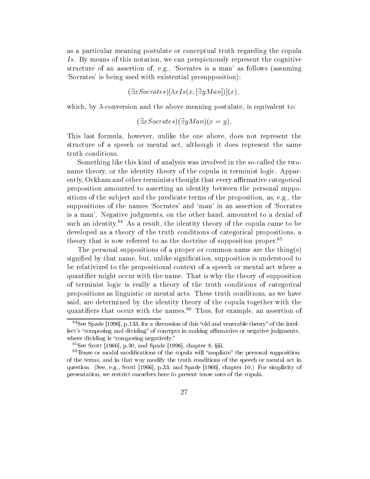as a particular meaning postulate or conceptual truth regarding the copula Is. By means of this notation, we can perspicuously represent the cognitive structure of an assertion of, e.g., `Socrates is a man' as follows (assuming `Socrates' is being used with existential presupposition):

$$
(\exists x Socrates)[\lambda xIs(x, [\exists yMan])](x),
$$

which, by  $\lambda$ -conversion and the above meaning postulate, is equivalent to:

$$
(\exists x Socrates)(\exists yMan)(x=y).
$$

This last formula, however, unlike the one above, does not represent the structure of a speech or mental act, although it does represent the same truth conditions.

Something like this kind of analysis was involved in the so-called the twoname theory, or the identity theory of the copula in terminist logic. Apparently, Ockham and other terminists thought that every affirmative categorical proposition amounted to asserting an identity between the personal suppositions of the subject and the predicate terms of the proposition, as, e.g., the suppositions of the names 'Socrates' and 'man' in an assertion of 'Socrates is a man'. Negative judgments, on the other hand, amounted to a denial of such an identity.<sup>64</sup> As a result, the identity theory of the copula came to be developed as a theory of the truth conditions of categorical propositions, a theory that is now referred to as the doctrine of supposition proper.<sup>65</sup>

The personal suppositions of a proper or common name are the thing(s) signified by that name, but, unlike signification, supposition is understood to be relativized to the propositional context of a speech or mental act where a quantifier might occur with the name. That is why the theory of supposition of terminist logic is really a theory of the truth conditions of categorical propositions as linguistic or mental acts. These truth conditions, as we have said, are determined by the identity theory of the copula together with the quantifiers that occur with the names.<sup>66</sup> Thus, for example, an assertion of

 $64$ See Spade [1996], p.133, for a discussion of this "old and venerable theory" of the intellect's "composing and dividing" of concepts in making affirmative or negative judgments, where dividing is "composing negatively."

 $65$ See Scott [1966], p.30, and Spade [1996], chapter 8, §iii.

 $66$ Tense or modal modifications of the copula will "ampliate" the personal supposition of the terms, and in that way modify the truth conditions of the speech or mental act in question. (See, e.g., Scott [1966], p.33, and Spade [1966], chapter 10.) For simplicity of presentation, we restrict ourselves here to present tense uses of the copula.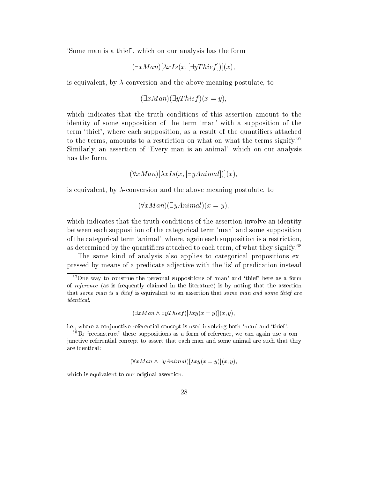`Some man is a thief ', which on our analysis has the form

$$
(\exists x Man)[\lambda xIs(x, [\exists yThie f])](x),
$$

is equivalent, by  $\lambda$ -conversion and the above meaning postulate, to

$$
(\exists x Man)(\exists yThief)(x=y),
$$

which indicates that the truth conditions of this assertion amount to the identity of some supposition of the term `man' with a supposition of the term 'thief', where each supposition, as a result of the quantifiers attached to the terms, amounts to a restriction on what on what the terms signify.<sup>67</sup> Similarly, an assertion of 'Every man is an animal', which on our analysis has the form,

$$
(\forall x Man)[\lambda xIs(x, [\exists y Animal])](x),
$$

is equivalent, by  $\lambda$ -conversion and the above meaning postulate, to

$$
(\forall x Man)(\exists yAnimal)(x=y),
$$

which indicates that the truth conditions of the assertion involve an identity between each supposition of the categorical term `man' and some supposition of the categorical term `animal', where, again each supposition is a restriction, as determined by the quantifiers attached to each term, of what they signify. $68$ 

The same kind of analysis also applies to categorical propositions expressed by means of a predicate adjective with the `is' of predication instead

$$
(\exists x Man \land \exists yThief)[\lambda xy(x=y)](x,y),
$$

i.e., where a conjunctive referential concept is used involving both 'man' and 'thief'.

 $68$ To "reconstruct" these suppositions as a form of reference, we can again use a conjunctive referential concept to assert that each man and some animal are such that they are identical:

$$
(\forall x Man \land \exists y Animal) [\lambda xy(x = y)](x, y),
$$

which is equivalent to our original assertion.

 $\overline{67}$ One way to construe the personal suppositions of 'man' and 'thief' here as a form of reference (as is frequently claimed in the literature) is by noting that the assertion that some man is a thief is equivalent to an assertion that some man and some thief are identical,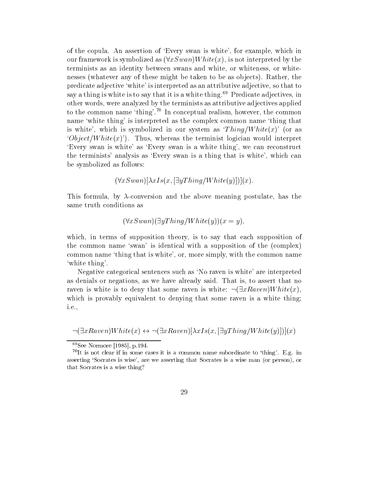of the copula. An assertion of `Every swan is white', for example, which in our framework is symbolized as  $(\forall xSwan)White(x)$ , is not interpreted by the terminists as an identity between swans and white, or whiteness, or whitenesses (whatever any of these might be taken to be as objects). Rather, the predicate adjective `white' is interpreted as an attributive adjective, so that to say a thing is white is to say that it is a white thing.<sup>69</sup> Predicate adjectives, in other words, were analyzed by the terminists as attributive adjectives applied to the common name 'thing'.<sup>70</sup> In conceptual realism, however, the common name 'white thing' is interpreted as the complex common name 'thing that is white', which is symbolized in our system as ' $Thing/White(x)$ ' (or as  $'Object/White(x)$ . Thus, whereas the terminist logician would interpret `Every swan is white' as `Every swan is a white thing', we can reconstruct the terminists' analysis as `Every swan is a thing that is white', which can be symbolized as follows:

$$
(\forall xSwan)[\lambda xIs(x,[\exists yThing/White(y)])](x).
$$

This formula, by  $\lambda$ -conversion and the above meaning postulate, has the same truth conditions as

$$
(\forall xSwan)(\exists y Thing/White(y))(x=y),
$$

which, in terms of supposition theory, is to say that each supposition of the common name `swan' is identical with a supposition of the (complex) common name `thing that is white', or, more simply, with the common name `white thing'.

Negative categorical sentences such as `No raven is white' are interpreted as denials or negations, as we have already said. That is, to assert that no raven is white is to deny that some raven is white:  $\neg(\exists xRaven)White(x),$ which is provably equivalent to denying that some raven is a white thing; i.e.,

 $\neg(\exists xRaven)White(x) \leftrightarrow \neg(\exists xRaven)[\lambda xIs(x, [\exists y Thing/White(y)])(x)$ 

<sup>69</sup>See Normore [1985], p.194.

<sup>&</sup>lt;sup>70</sup>It is not clear if in some cases it is a common name subordinate to 'thing'. E.g. in asserting 'Socrates is wise', are we asserting that Socrates is a wise man (or person), or that Socrates is a wise thing?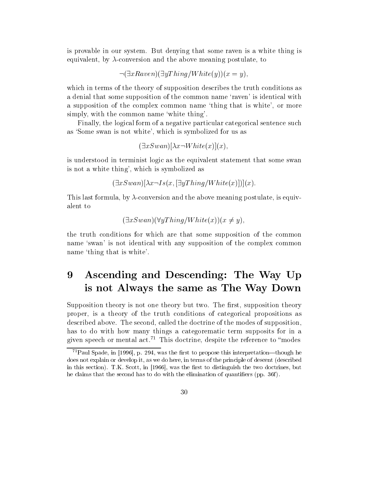is provable in our system. But denying that some raven is a white thing is equivalent, by  $\lambda$ -conversion and the above meaning postulate, to

$$
\neg(\exists x\text{Raven})(\exists y\text{Third}/\text{White}(y))(x=y),
$$

which in terms of the theory of supposition describes the truth conditions as a denial that some supposition of the common name 'raven' is identical with a supposition of the complex common name `thing that is white', or more simply, with the common name 'white thing'.

Finally, the logical form of a negative particular categorical sentence such as `Some swan is not white', which is symbolized for us as

$$
(\exists x \, \text{Swan}) [\lambda x \, \neg \, \text{White}(x)](x),
$$

is understood in terminist logic as the equivalent statement that some swan is not a white thing', which is symbolized as

$$
(\exists x \, Swan)[\lambda x \neg Is(x, [\exists y \, Thing/White(x)])](x)
$$

This last formula, by  $\lambda$ -conversion and the above meaning postulate, is equivalent to

$$
(\exists xSwan)(\forall yThing/White(x))(x \neq y),
$$

the truth conditions for which are that some supposition of the common name 'swan' is not identical with any supposition of the complex common name 'thing that is white'.

### Ascending and Descending: The Way Up 9 is not Always the same as The Way Down

Supposition theory is not one theory but two. The first, supposition theory proper, is a theory of the truth conditions of categorical propositions as described above. The second, called the doctrine of the modes of supposition, has to do with how many things a categorematic term supposits for in a given speech or mental act.<sup>71</sup> This doctrine, despite the reference to "modes"

<sup>&</sup>lt;sup>71</sup>Paul Spade, in [1996], p. 294, was the first to propose this interpretation—though he does not explain or develop it, as we do here, in terms of the principle of descent (described in this section). T.K. Scott, in  $[1966]$ , was the first to distinguish the two doctrines, but he claims that the second has to do with the elimination of quantifiers (pp. 36f).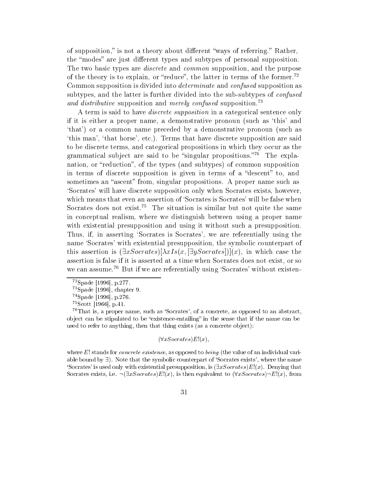of supposition," is not a theory about different "ways of referring." Rather, the "modes" are just different types and subtypes of personal supposition. The two basic types are *discrete* and *common* supposition, and the purpose of the theory is to explain, or "reduce", the latter in terms of the former.<sup>72</sup> Common supposition is divided into determinate and confused supposition as subtypes, and the latter is further divided into the sub-subtypes of confused and distributive supposition and merely confused supposition.<sup>73</sup>

A term is said to have *discrete supposition* in a categorical sentence only if it is either a proper name, a demonstrative pronoun (such as `this' and `that') or a common name preceded by a demonstrative pronoun (such as `this man', `that horse', etc.). Terms that have discrete supposition are said to be discrete terms, and categorical propositions in which they occur as the grammatical subject are said to be "singular propositions."<sup>74</sup> The explanation, or "reduction", of the types (and subtypes) of common supposition in terms of discrete supposition is given in terms of a "descent" to, and sometimes an "ascent" from, singular propositions. A proper name such as `Socrates' will have discrete supposition only when Socrates exists, however, which means that even an assertion of 'Socrates is Socrates' will be false when Socrates does not exist.<sup>75</sup> The situation is similar but not quite the same in conceptual realism, where we distinguish between using a proper name with existential presupposition and using it without such a presupposition. Thus, if, in asserting 'Socrates is Socrates', we are referentially using the name 'Socrates' with existential presupposition, the symbolic counterpart of this assertion is  $(\exists xSocrates)[\lambda xIs(x,[\exists ySocrates])[x],$  in which case the assertion is false if it is asserted at a time when Socrates does not exist, or so we can assume.<sup>76</sup> But if we are referentially using 'Socrates' without existen-

 $(\forall x Socrates)E!(x),$ 

where  $E$ ! stands for *concrete existence*, as opposed to *being* (the value of an individual variable bound by  $\exists$ ). Note that the symbolic counterpart of 'Socrates exists', where the name 'Socrates' is used only with existential presupposition, is  $(\exists x Socrates)E!(x)$ . Denying that Socrates exists, i.e.  $\neg(\exists xSocrates)E!(x)$ , is then equivalent to  $(\forall xSocrates)\neg E!(x)$ , from

<sup>72</sup>Spade [1996], p.277.

 $73$ Spade [1996], chapter 9.

<sup>74</sup>Spade [1996], p.276.

<sup>75</sup>Scott [1966], p.41.

 $^{76}$ That is, a proper name, such as 'Socrates', of a concrete, as opposed to an abstract, object can be stipulated to be "existence-entailing" in the sense that if the name can be used to refer to anything, then that thing exists (as a concrete object):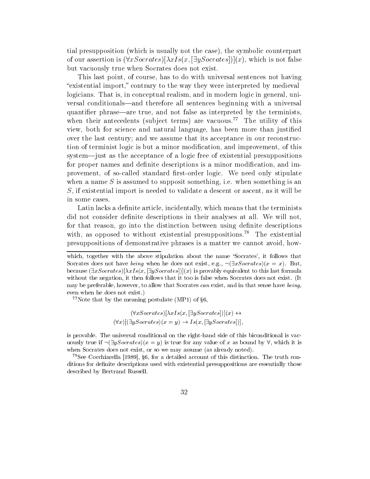tial presupposition (which is usually not the case), the symbolic counterpart of our assertion is  $(\forall xSocrates)[\lambda xIs(x, [\exists ySocrates])[x],$  which is not false but vacuously true when Socrates does not exist.

This last point, of course, has to do with universal sentences not having existential import," contrary to the way they were interpreted by medieval logicians. That is, in conceptual realism, and in modern logic in general, universal conditionals—and therefore all sentences beginning with a universal quantifier phrase—are true, and not false as interpreted by the terminists, when their antecedents (subject terms) are vacuous.<sup>77</sup> The utility of this view, both for science and natural language, has been more than justied over the last century; and we assume that its acceptance in our reconstruction of terminist logic is but a minor modification, and improvement, of this system—just as the acceptance of a logic free of existential presuppositions for proper names and definite descriptions is a minor modification, and improvement, of so-called standard first-order logic. We need only stipulate when a name  $S$  is assumed to supposit something, i.e. when something is an S, if existential import is needed to validate a descent or ascent, as it will be in some cases.

Latin lacks a definite article, incidentally, which means that the terminists did not consider definite descriptions in their analyses at all. We will not, for that reason, go into the distinction between using definite descriptions with, as opposed to without existential presuppositions.<sup>78</sup> The existential presuppositions of demonstrative phrases is a matter we cannot avoid, how-

 $77$ Note that by the meaning postulate (MP1) of §6,

 $(\forall xSocrates)[\lambda xIs(x,[\exists ySocrates])[x\rightarrow$  $(\forall x)[(\exists ySocrates)(x = y) \rightarrow Is(x, [\exists ySocrates)]],$ 

is provable. The universal conditional on the right-hand side of this biconditional is vacuously true if  $\neg(\exists ySocrates)(x = y)$  is true for any value of x as bound by  $\forall$ , which it is when Socrates does not exist, or so we may assume (as already noted).

 $^{78}$ See Cocchiarella [1989],  $\S6$ , for a detailed account of this distinction. The truth conditions for definite descriptions used with existential presuppositions are essentially those described by Bertrand Russell.

which, together with the above stipulation about the name 'Socrates', it follows that Socrates does not have being when he does not exist, e.g.,  $\neg \exists x Socrates$ ) $(x = x)$ . But, because  $(\exists xSocrates)[\lambda xIs(x,[\exists ySocrates)](x)$  is provably equivalent to this last formula without the negation, it then follows that it too is false when Socrates does not exist. (It may be preferable, however, to allow that Socrates can exist, and in that sense have being, even when he does not exist.)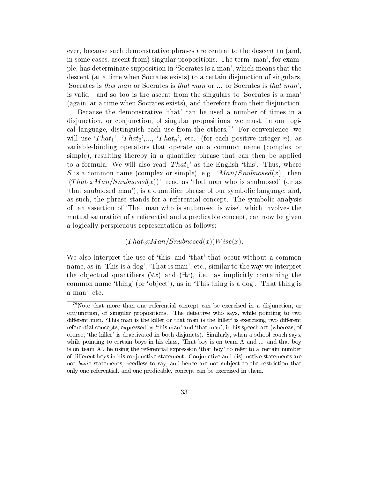ever, because such demonstrative phrases are central to the descent to (and, in some cases, ascent from) singular propositions. The term 'man', for example, has determinate supposition in `Socrates is a man', which means that the descent (at a time when Socrates exists) to a certain disjunction of singulars, Socrates is this man or Socrates is that man or  $\ldots$  or Socrates is that man'. is valid—and so too is the ascent from the singulars to 'Socrates is a man' (again, at a time when Socrates exists), and therefore from their disjunction.

Because the demonstrative `that' can be used a number of times in a disjunction, or conjunction, of singular propositions, we must, in our logical language, distinguish each use from the others.<sup>79</sup> For convenience, we will use 'That<sub>1</sub>', 'That<sub>2</sub>',..., 'That<sub>n</sub>', etc. (for each positive integer n), as variable-binding operators that operate on a common name (complex or simple), resulting thereby in a quantifier phrase that can then be applied to a formula. We will also read ' $That_1$ ' as the English 'this'. Thus, where S is a common name (complex or simple), e.g., ' $Man/Snubnosed(x)$ ', then  $\Gamma(That_2xMan/Snubnosed(x))'$ , read as 'that man who is snubnosed' (or as 'that snubnosed man'), is a quantifier phrase of our symbolic language; and, as such, the phrase stands for a referential concept. The symbolic analysis of an assertion of `That man who is snubnosed is wise', which involves the mutual saturation of a referential and a predicable concept, can now be given a logically perspicuous representation as follows:

#### $(That_2xMan/Snubnosed(x))Wise(x).$

We also interpret the use of 'this' and 'that' that occur without a common name, as in 'This is a dog', 'That is man', etc., similar to the way we interpret the objectual quantifiers  $(\forall x)$  and  $(\exists x)$ , i.e. as implicitly containing the common name 'thing' (or 'object'), as in 'This thing is a dog', 'That thing is a man', etc.

<sup>79</sup>Note that more than one referential concept can be exercised in a disjunction, or conjunction, of singular propositions. The detective who says, while pointing to two different men, 'This man is the killer or that man is the killer' is exercising two different referential concepts, expressed by 'this man' and 'that man', in his speech act (whereas, of course, `the killer' is deactivated in both disjuncts). Similarly, when a school coach says, while pointing to certain boys in his class, 'That boy is on team A and ... and that boy is on team  $A'$ , he using the referential expression 'that boy' to refer to a certain number of dierent boys in his conjunctive statement. Conjunctive and disjunctive statements are not basic statements, needless to say, and hence are not subject to the restriction that only one referential, and one predicable, concept can be exercised in them.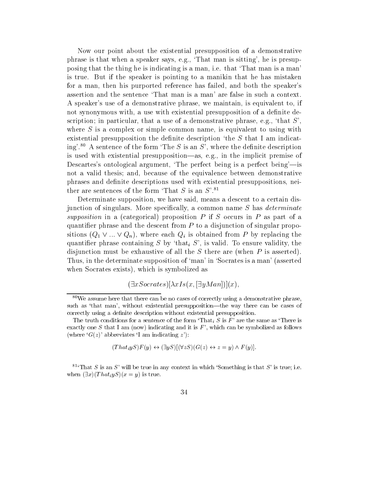Now our point about the existential presupposition of a demonstrative phrase is that when a speaker says, e.g., `That man is sitting', he is presupposing that the thing he is indicating is a man, i.e. that `That man is a man' is true. But if the speaker is pointing to a manikin that he has mistaken for a man, then his purported reference has failed, and both the speaker's assertion and the sentence `That man is a man' are false in such a context. A speaker's use of a demonstrative phrase, we maintain, is equivalent to, if not synonymous with, a use with existential presupposition of a definite description; in particular, that a use of a demonstrative phrase, e.g., 'that  $S'$ . where  $S$  is a complex or simple common name, is equivalent to using with existential presupposition the definite description 'the  $S$  that I am indicating'.<sup>80</sup> A sentence of the form 'The S is an S', where the definite description is used with existential presupposition—as, e.g., in the implicit premise of Descartes's ontological argument, 'The perfect being is a perfect being'—is not a valid thesis; and, because of the equivalence between demonstrative phrases and denite descriptions used with existential presuppositions, neither are sentences of the form 'That S is an  $S^{3}$ .<sup>81</sup>

Determinate supposition, we have said, means a descent to a certain disjunction of singulars. More specifically, a common name  $S$  has *determinate* supposition in a (categorical) proposition  $P$  if  $S$  occurs in  $P$  as part of a quantifier phrase and the descent from  $P$  to a disjunction of singular propositions  $(Q_1 \vee ... \vee Q_n)$ , where each  $Q_i$  is obtained from P by replacing the quantifier phrase containing S by 'that, S', is valid. To ensure validity, the disjunction must be exhaustive of all the S there are (when P is asserted). Thus, in the determinate supposition of 'man' in 'Socrates is a man' (asserted when Socrates exists), which is symbolized as

$$
(\exists x Socrates)[\lambda xIs(x, [\exists yMan])](x),
$$

$$
(That_iyS)F(y) \leftrightarrow (\exists yS)[(\forall zS)(G(z) \leftrightarrow z=y) \land F(y)].
$$

<sup>81</sup>'That S is an S' will be true in any context in which 'Something is that S' is true; i.e. when  $(\exists x)(That_iyS)(x=y)$  is true.

<sup>80</sup>We assume here that there can be no cases of correctly using a demonstrative phrase, such as 'that man', without existential presupposition-the way there can be cases of correctly using a definite description without existential presupposition.

The truth conditions for a sentence of the form  $\text{That}_i S$  is F' are the same as  $\text{There is}$ exactly one S that I am (now) indicating and it is  $F'$ , which can be symbolized as follows (where  $G(z)$ ' abbreviates 'I am indicating z'):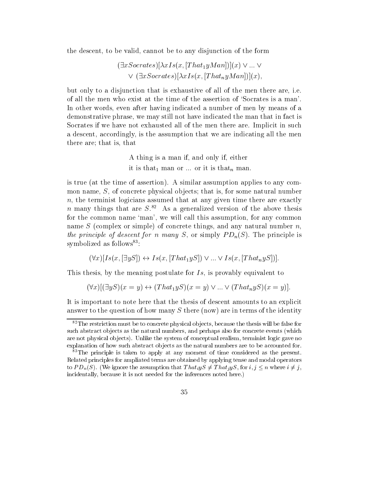the descent, to be valid, cannot be to any disjunction of the form

$$
(\exists x Socrates)[\lambda xIs(x, [That_1yMan])](x) \lor ... \lor
$$
  

$$
\lor (\exists x Socrates)[\lambda xIs(x, [That_nyMan])](x),
$$

but only to a disjunction that is exhaustive of all of the men there are, i.e. of all the men who exist at the time of the assertion of `Socrates is a man'. In other words, even after having indicated a number of men by means of a demonstrative phrase, we may still not have indicated the man that in fact is Socrates if we have not exhausted all of the men there are. Implicit in such a descent, accordingly, is the assumption that we are indicating all the men there are; that is, that

> A thing is a man if, and only if, either it is that<sub>1</sub> man or ... or it is that<sub>n</sub> man.

is true (at the time of assertion). A similar assumption applies to any common name,  $S$ , of concrete physical objects; that is, for some natural number  $n$ , the terminist logicians assumed that at any given time there are exactly n many things that are  $S^{82}$ . As a generalized version of the above thesis for the common name 'man', we will call this assumption, for any common name  $S$  (complex or simple) of concrete things, and any natural number  $n$ , the principle of descent for n many S, or simply  $PD_n(S)$ . The principle is symbolized as follows<sup>83</sup>:

$$
(\forall x)[Is(x, [\exists yS]) \leftrightarrow Is(x, [That_1yS]) \vee ... \vee Is(x, [That_nyS])].
$$

This thesis, by the meaning postulate for  $Is$ , is provably equivalent to

$$
(\forall x)[(\exists yS)(x=y) \leftrightarrow (That_1yS)(x=y) \vee ... \vee (That_nyS)(x=y)].
$$

It is important to note here that the thesis of descent amounts to an explicit answer to the question of how many  $S$  there (now) are in terms of the identity

 $82$ The restriction must be to concrete physical objects, because the thesis will be false for such abstract objects as the natural numbers, and perhaps also for concrete events (which are not physical objects). Unlike the system of conceptual realism, terminist logic gave no explanation of how such abstract objects as the natural numbers are to be accounted for.

<sup>&</sup>lt;sup>83</sup>The principle is taken to apply at any moment of time considered as the present. Related principles for ampliated terms are obtained by applying tense and modal operators to  $PD_n(S)$ . (We ignore the assumption that  $That_i yS \neq That_i yS$ , for  $i, j \leq n$  where  $i \neq j$ , incidentally, because it is not needed for the inferences noted here.)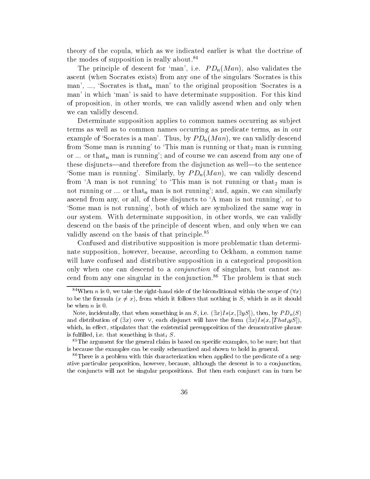theory of the copula, which as we indicated earlier is what the doctrine of the modes of supposition is really about.<sup>84</sup>

The principle of descent for 'man', i.e.  $PD_n(Man)$ , also validates the ascent (when Socrates exists) from any one of the singulars 'Socrates is this man', ..., 'Socrates is that<sub>n</sub> man' to the original proposition 'Socrates is a man' in which 'man' is said to have determinate supposition. For this kind of proposition, in other words, we can validly ascend when and only when we can validly descend.

Determinate supposition applies to common names occurring as sub ject terms as well as to common names occurring as predicate terms, as in our example of 'Socrates is a man'. Thus, by  $PD_n(Man)$ , we can validly descend from 'Some man is running' to 'This man is running or that<sub>2</sub> man is running or ... or that<sub>n</sub> man is running'; and of course we can ascend from any one of these disjuncts—and therefore from the disjunction as well—to the sentence 'Some man is running'. Similarly, by  $PD_n(Man)$ , we can validly descend from  $'A$  man is not running' to 'This man is not running or that<sub>2</sub> man is not running or ... or that<sub>n</sub> man is not running'; and, again, we can similarly ascend from any, or all, of these disjuncts to `A man is not running', or to `Some man is not running', both of which are symbolized the same way in our system. With determinate supposition, in other words, we can validly descend on the basis of the principle of descent when, and only when we can validly ascend on the basis of that principle.<sup>85</sup>

Confused and distributive supposition is more problematic than determinate supposition, however, because, according to Ockham, a common name will have confused and distributive supposition in a categorical proposition only when one can descend to a *conjunction* of singulars, but cannot ascend from any one singular in the conjunction.<sup>86</sup> The problem is that such

<sup>&</sup>lt;sup>84</sup>When *n* is 0, we take the right-hand side of the biconditional within the scope of  $(\forall x)$ to be the formula  $(x \neq x)$ , from which it follows that nothing is S, which is as it should be when  $n$  is  $0$ .

Note, incidentally, that when something is an S, i.e.  $(\exists x)Is(x, [\exists yS])$ , then, by  $PD_n(S)$ and distribution of  $(\exists x)$  over  $\vee$ , each disjunct will have the form  $(\exists x)Is(x, [That_iyS]),$ which, in effect, stipulates that the existential presupposition of the demontrative phrase is fulfilled, i.e. that something is that,  $S$ .

<sup>&</sup>lt;sup>85</sup>The argument for the general claim is based on specific examples, to be sure; but that is because the examples can be easily schematized and shown to hold in general.

<sup>&</sup>lt;sup>86</sup>There is a problem with this characterization when applied to the predicate of a negative particular proposition, however, because, although the descent is to a conjunction, the conjuncts will not be singular propositions. But then each conjunct can in turn be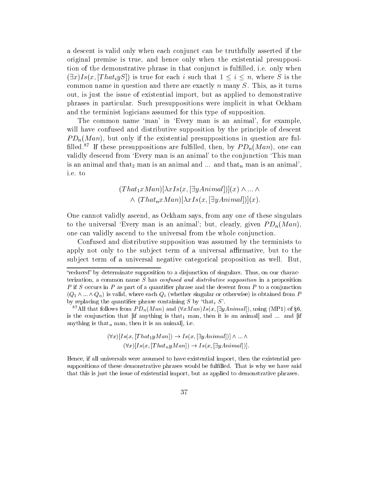a descent is valid only when each conjunct can be truthfully asserted if the original premise is true, and hence only when the existential presupposition of the demonstrative phrase in that conjunct is fullled, i.e. only when  $(\exists x)Is(x, [That_iyS])$  is true for each i such that  $1 \leq i \leq n$ , where S is the common name in question and there are exactly  $n$  many  $S$ . This, as it turns out, is just the issue of existential import, but as applied to demonstrative phrases in particular. Such presuppositions were implicit in what Ockham and the terminist logicians assumed for this type of supposition.

The common name 'man' in 'Every man is an animal', for example, will have confused and distributive supposition by the principle of descent  $PD_n(Man)$ , but only if the existential presuppositions in question are fulfilled.<sup>87</sup> If these presuppositions are fulfilled, then, by  $PD_n(Man)$ , one can validly descend from 'Every man is an animal' to the conjunction 'This man is an animal and that<sub>2</sub> man is an animal and  $\ldots$  and that<sub>n</sub> man is an animal', i.e. to

$$
(That_1xMan)[\lambda xIs(x, [\exists yAnimal])](x) \land ... \land
$$

$$
\land (That_nxMan)[\lambda xIs(x, [\exists yAnimal])](x).
$$

One cannot validly ascend, as Ockham says, from any one of these singulars to the universal 'Every man is an animal'; but, clearly, given  $PD_n(Man)$ , one can validly ascend to the universal from the whole conjunction.

Confused and distributive supposition was assumed by the terminists to apply not only to the subject term of a universal affirmative, but to the subject term of a universal negative categorical proposition as well. But,

$$
(\forall x)[Is(x, [That_1yMan]) \rightarrow Is(x, [\exists yAnimal])] \land ... \land
$$

$$
(\forall x)[Is(x, [That_nyMan]) \rightarrow Is(x, [\exists yAnimal])].
$$

Hence, if all universals were assumed to have existential import, then the existential presuppositions of these demonstrative phrases would be fulfilled. That is why we have said that this is just the issue of existential import, but as applied to demonstrative phrases.

<sup>&</sup>quot;reduced" by determinate supposition to a disjunction of singulars. Thus, on our characterization, a common name S has confused and distributive supposition in a proposition P if S occurs in P as part of a quantifier phrase and the descent from P to a conjunction  $(Q_1 \wedge \ldots \wedge Q_n)$  is valid, where each  $Q_i$  (whether singular or otherwise) is obtained from P by replacing the quantifier phrase containing S by 'that,  $S'$ .

<sup>&</sup>lt;sup>87</sup>All that follows from  $PD_n(Man)$  and  $(\forall xMan)Is(x, \exists yAnimal]),$  using (MP1) of §6, is the conjunction that [if anything is that<sub>1</sub> man, then it is an animal] and ... and [if anything is that<sub>n</sub> man, then it is an animal, i.e.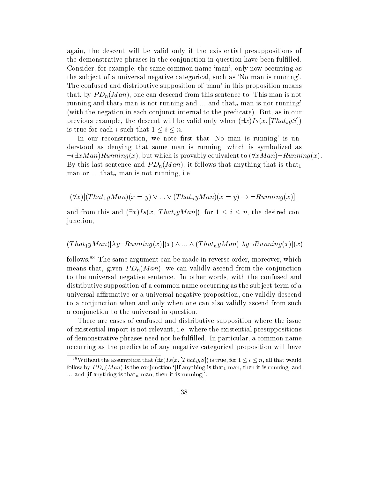again, the descent will be valid only if the existential presuppositions of the demonstrative phrases in the conjunction in question have been fullled. Consider, for example, the same common name 'man', only now occurring as the sub ject of a universal negative categorical, such as`No man is running'. The confused and distributive supposition of 'man' in this proposition means that, by  $PD_n(Man)$ , one can descend from this sentence to 'This man is not running and that<sub>2</sub> man is not running and ... and that<sub>n</sub> man is not running (with the negation in each conjunct internal to the predicate). But, as in our previous example, the descent will be valid only when  $(\exists x)Is(x,[That_iyS])$ is true for each i such that  $1 \leq i \leq n$ .

In our reconstruction, we note first that 'No man is running' is understood as denying that some man is running, which is symbolized as  $\lnot(\exists x Man)Running(x)$ , but which is provably equivalent to  $(\forall xMan)\lnot Running(x)$ . By this last sentence and  $PD_n(Man)$ , it follows that anything that is that<sub>1</sub> man or  $\ldots$  that<sub>n</sub> man is not running, i.e.

$$
(\forall x)[(That_1yMan)(x=y) \lor ... \lor (That_nyMan)(x=y) \rightarrow \neg Running(x)],
$$

and from this and  $(\exists x)Is(x, [That_iyMan]),$  for  $1 \leq i \leq n$ , the desired conjunction,

$$
(That_1yMan)[\lambda y \neg Running(x)](x) \wedge ... \wedge (That_nyMan)[\lambda y \neg Running(x)](x)
$$

follows.88 The same argument can be made in reverse order, moreover, which means that, given  $PD_n(Man)$ , we can validly ascend from the conjunction to the universal negative sentence. In other words, with the confused and distributive supposition of a common name occurring as the subject term of a universal affirmative or a universal negative proposition, one validly descend to a conjunction when and only when one can also validly ascend from such a conjunction to the universal in question.

There are cases of confused and distributive supposition where the issue of existential import is not relevant, i.e. where the existential presuppositions of demonstrative phrases need not be fullled. In particular, a common name occurring as the predicate of any negative categorical proposition willhave

<sup>&</sup>lt;sup>88</sup>Without the assumption that  $(\exists x)Is(x, [That_i yS])$  is true, for  $1 \le i \le n$ , all that would follow by  $PD_n(Man)$  is the conjunction '[If anything is that<sub>1</sub> man, then it is running] and ... and [if anything is that<sub>n</sub> man, then it is running]'.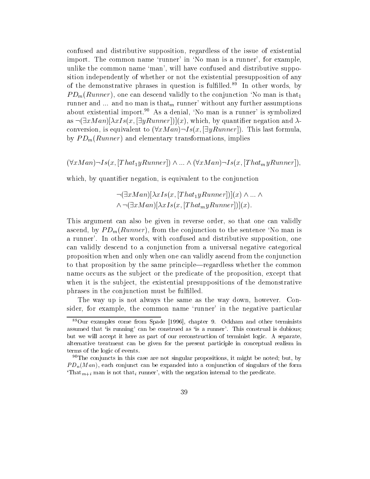confused and distributive supposition, regardless of the issue of existential import. The common name 'runner' in 'No man is a runner', for example, unlike the common name 'man', will have confused and distributive supposition independently of whether or not the existential presupposition of any of the demonstrative phrases in question is fulfilled.<sup>89</sup> In other words, by  $PD_m(Runner)$ , one can descend validly to the conjunction 'No man is that<sub>1</sub> runner and ... and no man is that<sub>m</sub> runner' without any further assumptions about existential import.<sup>90</sup> As a denial, 'No man is a runner' is symbolized as  $\neg(\exists x Man)[\lambda xIs(x, [\exists yRunner]](x))$ , which, by quantifier negation and  $\lambda$ conversion, is equivalent to  $(\forall xMan) \neg Is(x, [\exists yRunner])$ . This last formula, by  $PD_m(Runner)$  and elementary transformations, implies

$$
(\forall x Man) \neg Is(x, [That_1yRunner]) \land ... \land (\forall xMan) \neg Is(x, [That_myRunner]),
$$

which, by quantifier negation, is equivalent to the conjunction

$$
\neg(\exists x Man)[\lambda xIs(x, [That_1yRunner])](x) \land \dots \land \land \neg(\exists xMan)[\lambda xIs(x, [That_myRunner])](x).
$$

This argument can also be given in reverse order, so that one can validly ascend, by  $PD_m(Runner)$ , from the conjunction to the sentence 'No man is a runner'. In other words, with confused and distributive supposition, one can validly descend to a conjunction from a universal negative categorical proposition when and only when one can validly ascend from the conjunction to that proposition by the same principle—regardless whether the common name occurs as the subject or the predicate of the proposition, except that when it is the subject, the existential presuppositions of the demonstrative phrases in the conjunction must be fulfilled.

The way up is not always the same as the way down, however. Consider, for example, the common name 'runner' in the negative particular

<sup>89</sup>Our examples come from Spade [1996], chapter 9. Ockham and other terminists assumed that 'is running' can be construed as 'is a runner'. This construal is dubious; but we will accept it here as part of our reconstruction of terminist logic. A separate, alternative treatment can be given for the present participle in conceptual realism in terms of the logic of events.

<sup>&</sup>lt;sup>90</sup>The conjuncts in this case are not singular propositions, it might be noted; but, by  $PD_n(Man)$ , each conjunct can be expanded into a conjunction of singulars of the form 'That $_{m+i}$  man is not that<sub>i</sub> runner', with the negation internal to the predicate.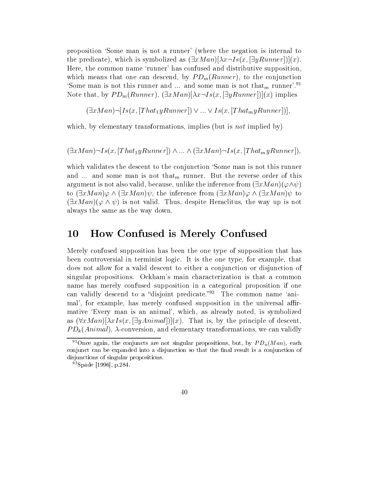proposition `Some man is not a runner' (where the negation is internal to the predicate), which is symbolized as  $(\exists x Man)[\lambda x \neg Is(x, [\exists yRunner])](x)$ . Here, the common name 'runner' has confused and distributive supposition, which means that one can descend, by  $PD_m(Runner)$ , to the conjunction 'Some man is not this runner and ... and some man is not that<sub>m</sub> runner'.<sup>91</sup> Note that, by  $PD_m(Runner)$ ,  $(\exists xMan)[\lambda x \neg Is(x, [\exists yRunner])](x)$  implies

$$
(\exists x Man) \neg [Is(x, [That_1yRunner]) \lor ... \lor Is(x, [That_myRunner])],
$$

which, by elementary transformations, implies (but is *not* implied by)

### $(\exists x Man)\neg Is(x, [That_1yRunner]) \wedge ... \wedge (\exists xMan)\neg Is(x, [That_myRunner]),$

which validates the descent to the conjunction 'Some man is not this runner and ... and some man is not that<sub>m</sub> runner. But the reverse order of this argument is not also valid, because, unlike the inference from  $(\exists x Man)(\varphi \land \psi)$ to  $(\exists x Man)\varphi \wedge (\exists xMan)\psi$ , the inference from  $(\exists xMan)\varphi \wedge (\exists xMan)\psi$  to  $(\exists x Man)(\varphi \wedge \psi)$  is not valid. Thus, despite Heraclitus, the way up is not always the same as the way down.

# 10 How Confused is Merely Confused

Merely confused supposition has been the one type of supposition that has been controversial in terminist logic. It is the one type, for example, that does not allow for a valid descent to either a conjunction or disjunction of singular propositions. Ockham's main characterization is that a common name has merely confused supposition in a categorical proposition if one can validly descend to a "disjoint predicate." $92$  The common name 'animal', for example, has merely confused supposition in the universal affirmative `Every man is an animal', which, as already noted, is symbolized as  $(\forall x Man)[\lambda xIs(x, [\exists yAnimal])](x)$ . That is, by the principle of descent,  $PD_k(Animal)$ ,  $\lambda$ -conversion, and elementary transformations, we can validly

<sup>&</sup>lt;sup>91</sup>Once again, the conjuncts are not singular propositions, but, by  $PD_n(Man)$ , each conjunct can be expanded into a disjunction so that the final result is a conjunction of disjunctions of singular propositions.

<sup>92</sup>Spade [1996], p.284.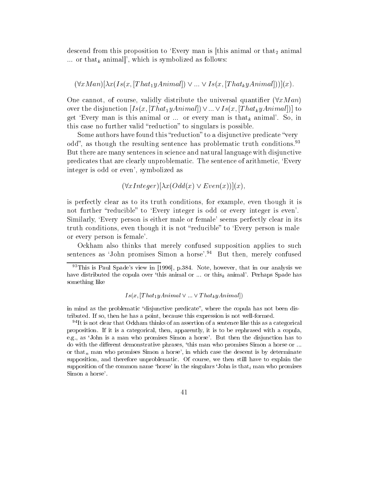descend from this proposition to 'Every man is  $[this animal or that<sub>2</sub> animal]$ ... or that<sub>k</sub> animal]', which is symbolized as follows:

 $(\forall x Man)[\lambda x(Is(x,[That in all]) \vee ... \vee Is(x,[That_kuAnimal]))](x).$ 

One cannot, of course, validly distribute the universal quantifier  $(\forall xMan)$ over the disjunction  $[Is(x, [That_1yAnimal]) \vee ... \vee Is(x, [That_kyAnimal])]$  to get 'Every man is this animal or ... or every man is that<sub>k</sub> animal'. So, in this case no further valid "reduction" to singulars is possible.

Some authors have found this "reduction" to a disjunctive predicate "very odd", as though the resulting sentence has problematic truth conditions.<sup>93</sup> But there are many sentences in science and natural language with disjunctive predicates that are clearly unproblematic. The sentence of arithmetic, `Every integer is odd or even', symbolized as

 $(\forall x Integer)[\lambda x(Odd(x) \vee Even(x))](x),$ 

is perfectly clear as to its truth conditions, for example, even though it is not further "reducible" to 'Every integer is odd or every integer is even'. Similarly, 'Every person is either male or female' seems perfectly clear in its truth conditions, even though it is not "reducible" to 'Every person is male or every person is female'.

Ockham also thinks that merely confused supposition applies to such sentences as 'John promises Simon a horse'.<sup>94</sup> But then, merely confused

#### $Is(x, [That_1yAnimal \vee \ldots \vee That_kyAnimal])$

in mind as the problematic "disjunctive predicate", where the copula has not been distributed. If so, then he has a point, because this expression is not well-formed.

<sup>94</sup>It is not clear that Ockham thinks of an assertion of a sentence like this as a categorical proposition. If it is a categorical, then, apparently, it is to be rephrased with a copula, e.g., as `John is a man who promises Simon a horse'. But then the disjunction has to do with the different demonstrative phrases, 'this man who promises Simon a horse or ... or that<sub>n</sub> man who promises Simon a horse', in which case the descent is by determinate supposition, and therefore unproblematic. Of course, we then still have to explain the supposition of the common name 'horse' in the singulars 'John is that, man who promises Simon a horse'.

<sup>&</sup>lt;sup>93</sup>This is Paul Spade's view in [1996], p.384. Note, however, that in our analysis we have distributed the copula over 'this animal or  $\ldots$  or this<sub>k</sub> animal'. Perhaps Spade has something like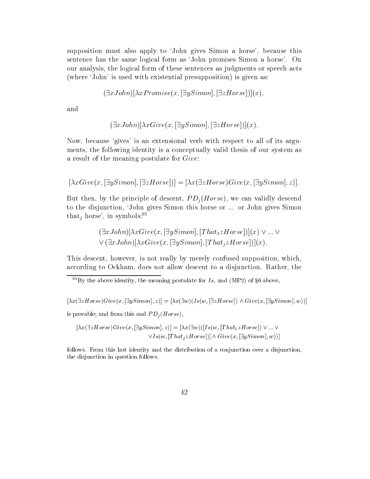supposition must also apply to 'John gives Simon a horse', because this sentence has the same logical form as 'John promises Simon a horse'. On our analysis, the logical form of these sentences as judgments or speech acts (where 'John' is used with existential presupposition) is given as:

$$
(\exists x \text{John})[\lambda x \text{Promise}(x, [\exists y \text{Simon}], [\exists z \text{Horse}])](x),
$$

and

$$
(\exists x John)[\lambda x Give(x, [\exists y Simon], [\exists z Horse])](x).
$$

Now, because `gives' is an extensional verb with respect to all of its arguments, the following identity is a conceptually valid thesis of our system as a result of the meaning postulate for Give:

$$
[\lambda xGive(x, [\exists y Simon], [\exists zHorse])] = [\lambda x(\exists zHorse)Give(x, [\exists y Simon], z)].
$$

But then, by the principle of descent,  $PD_i(Horse)$ , we can validly descend to the disjunction, `John gives Simon this horse or ... or John gives Simon that<sub>i</sub> horse', in symbols:<sup>95</sup>

$$
(\exists x John)[\lambda x Give(x, [\exists y Simon], [That_1zHorse])](x) \lor ... \lor \lor (\exists x John)[\lambda x Give(x, [\exists y Simon], [That_1zHorse])](x).
$$

This descent, however, is not really by merely confused supposition, which, according to Ockham, does not allow descent to a disjunction. Rather, the

 $[\lambda x(\exists zHorse)Give(x,[\exists ySimon], z)] = [\lambda x(\exists w)(Is(w,[\exists zHorse]) \wedge Give(x,[\exists ySimon], w))]$ is provable; and from this and  $PD_j(Horse)$ ,

$$
[\lambda x(\exists zHorse)Give(x, [\exists y Simon], z)] = [\lambda x(\exists w)([Is(w, [That_1zHorse]) \vee ... \vee \vee Is(w, [That_1zHorse])]) \wedge Give(x, [\exists ySimon], w))]
$$

follows. From this last identity and the distribution of a conjunction over a disjunction, the disjunction in question follows.

 $^{95}$ By the above identity, the meaning postulate for Is, and (MP2) of §6 above,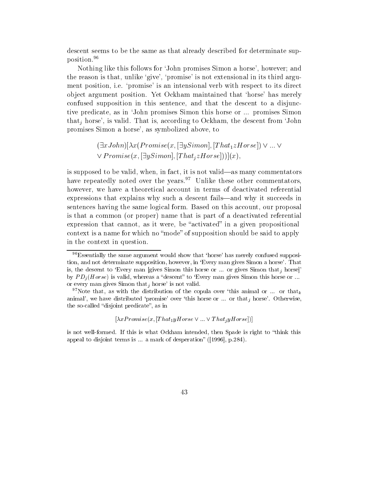descent seems to be the same as that already described for determinate supposition.96

Nothing like this follows for `John promises Simon a horse', however; and the reason is that, unlike `give', `promise' is not extensional in its third argument position, i.e. `promise' is an intensional verb with respect to its direct ob ject argument position. Yet Ockham maintained that `horse' has merely confused supposition in this sentence, and that the descent to a disjunctive predicate, as in `John promises Simon this horse or ... promises Simon that, horse', is valid. That is, according to Ockham, the descent from 'John promises Simon a horse', as symbolized above, to

> $(\exists x John)[\lambda x (Promise(x, [\exists y Simon], [That_1zHorse]) \vee ... \vee$  $\vee$  Promise(x, [ $\exists y Simon$ ], [That<sub>i</sub>zHorse]))](x),

is supposed to be valid, when, in fact, it is not valid—as many commentators have repeatedly noted over the years.<sup>97</sup> Unlike these other commentators, however, we have a theoretical account in terms of deactivated referential expressions that explains why such a descent fails—and why it succeeds in sentences having the same logical form. Based on this account, our proposal is that a common (or proper) name that is part of a deactivated referential expression that cannot, as it were, be "activated" in a given propositional context is a name for which no "mode" of supposition should be said to apply in the context in question.

 $[\lambda x Promise(x, [That_1yHorse \vee ... \vee That_1yHorse)])$ 

is not well-formed. If this is what Ockham intended, then Spade is right to "think this appeal to disjoint terms is  $\ldots$  a mark of desperation" ([1996], p.284).

<sup>96</sup>Essentially the same argument would show that `horse' has merely confused supposition, and not determinate supposition, however, in 'Every man gives Simon a horse'. That is, the descent to 'Every man [gives Simon this horse or ... or gives Simon that, horse]' by  $PD_i(Horse)$  is valid, whereas a "descent" to 'Every man gives Simon this horse or ... or every man gives Simon that, horse' is not valid.

<sup>&</sup>lt;sup>97</sup>Note that, as with the distribution of the copula over 'this animal or ... or that<sub>k</sub> animal', we have distributed 'promise' over 'this horse or ... or that, horse'. Otherwise, the so-called "disjoint predicate", as in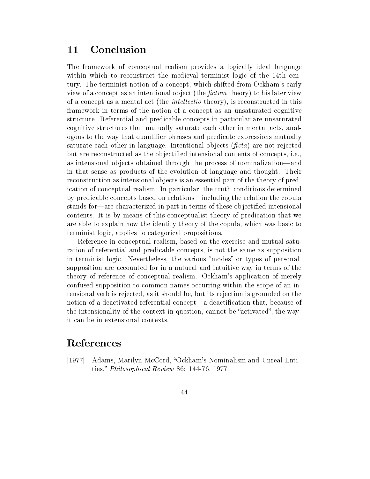#### 11 Conclusion

The framework of conceptual realism provides a logically ideal language within which to reconstruct the medieval terminist logic of the 14th century. The terminist notion of a concept, which shifted from Ockham's early view of a concept as an intentional object (the  $\text{fictum}$  theory) to his later view of a concept as a mental act (the *intellectio* theory), is reconstructed in this framework in terms of the notion of a concept as an unsaturated cognitive structure. Referential and predicable concepts in particular are unsaturated cognitive structures that mutually saturate each other in mental acts, analogous to the way that quantier phrases and predicate expressions mutually saturate each other in language. Intentional objects  $(\text{ficta})$  are not rejected but are reconstructed as the objectified intensional contents of concepts, i.e., as intensional objects obtained through the process of nominalization—and in that sense as products of the evolution of language and thought. Their reconstruction as intensional objects is an essential part of the theory of predication of conceptual realism. In particular, the truth conditions determined by predicable concepts based on relations—including the relation the copula stands for—are characterized in part in terms of these objectified intensional contents. It is by means of this conceptualist theory of predication that we are able to explain how the identity theory of the copula, which was basic to terminist logic, applies to categorical propositions.

Reference in conceptual realism, based on the exercise and mutual saturation of referential and predicable concepts, is not the same as supposition in terminist logic. Nevertheless, the various "modes" or types of personal supposition are accounted for in a natural and intuitive way in terms of the theory of reference of conceptual realism. Ockham's application of merely confused supposition to common names occurring within the scope of an intensional verb is rejected, as it should be, but its rejection is grounded on the notion of a deactivated referential concept—a deactification that, because of the intensionality of the context in question, cannot be "activated", the way it can be in extensional contexts.

# References

[1977] Adams, Marilyn McCord, "Ockham's Nominalism and Unreal Entities," *Philosophical Review 86*: 144-76, 1977.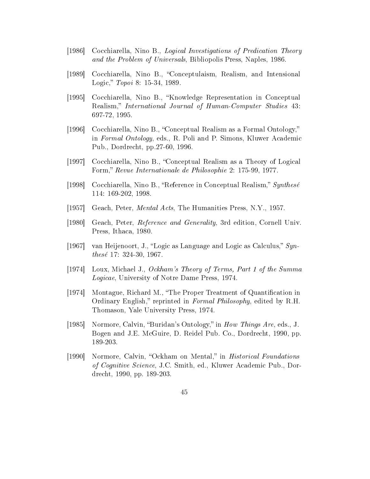- Cocchiarella, Nino B., Logical Investigations of Predication Theory |1986| and the Problem of Universals, Bibliopolis Press, Naples, 1986.
- [1989] Cocchiarella, Nino B., Conceptulaism, Realism, and Intensional Logic," Topoi 8: 15-34, 1989.
- [1995] Cocchiarella, Nino B., Knowledge Representation in Conceptual Realism," International Journal of Human-Computer Studies 43: 697-72, 1995.
- [1996] Cocchiarella, Nino B., "Conceptual Realism as a Formal Ontology," in Formal Ontology, eds., R. Poli and P. Simons, Kluwer Academic Pub., Dordrecht, pp.27-60, 1996.
- [1997] Cocchiarella, Nino B., "Conceptual Realism as a Theory of Logical Form," Revue Internationale de Philosophie 2: 175-99, 1977.
- [1998] Cocchiarella, Nino B., "Reference in Conceptual Realism,"  $Synthes\acute{e}$ 114: 169-202, 1998.
- [1957] Geach, Peter, *Mental Acts*, The Humanities Press, N.Y., 1957.
- [1980] Geach, Peter, Reference and Generality, 3rd edition, Cornell Univ. Press, Ithaca, 1980.
- [1967] van Heijenoort, J., "Logic as Language and Logic as Calculus,"  $Syn$ thesé 17: 324-30, 1967.
- [1974] Loux, Michael J., Ockham's Theory of Terms, Part 1 of the Summa Logicae, University of Notre Dame Press, 1974.
- [1974] Montague, Richard M., "The Proper Treatment of Quantification in Ordinary English," reprinted in Formal Philosophy, edited by R.H. Thomason, Yale University Press, 1974.
- [1985] Normore, Calvin, "Buridan's Ontology," in *How Things Are*, eds., J. Bogen and J.E.McGuire, D. Reidel Pub. Co., Dordrecht, 1990, pp. 189-203.
- [1990] Normore, Calvin, "Ockham on Mental," in *Historical Foundations* of Cognitive Science, J.C. Smith, ed., Kluwer Academic Pub., Dordrecht, 1990, pp. 189-203.